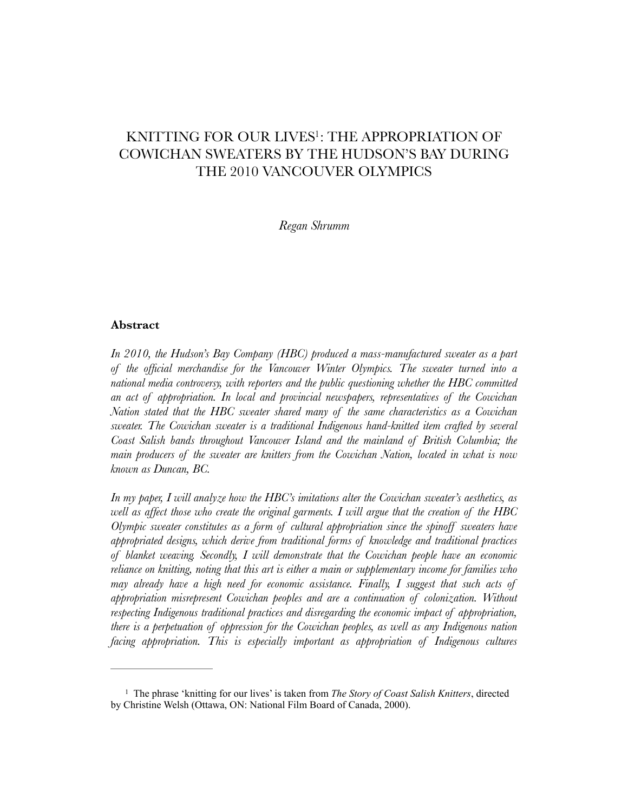# KNITTING FOR OUR LIVES<sup>[1](#page-0-0)</sup>: THE APPROPRIATION OF COWICHAN SWEATERS BY THE HUDSON'S BAY DURING THE 2010 VANCOUVER OLYMPICS

<span id="page-0-1"></span>*Regan Shrumm* 

#### **Abstract**

*In 2010, the Hudson's Bay Company (HBC) produced a mass-manufactured sweater as a part of the official merchandise for the Vancouver Winter Olympics. The sweater turned into a national media controversy, with reporters and the public questioning whether the HBC committed an act of appropriation. In local and provincial newspapers, representatives of the Cowichan Nation stated that the HBC sweater shared many of the same characteristics as a Cowichan sweater. The Cowichan sweater is a traditional Indigenous hand-knitted item crafted by several Coast Salish bands throughout Vancouver Island and the mainland of British Columbia; the main producers of the sweater are knitters from the Cowichan Nation, located in what is now known as Duncan, BC.* 

*In my paper, I will analyze how the HBC's imitations alter the Cowichan sweater's aesthetics, as well as affect those who create the original garments. I will argue that the creation of the HBC Olympic sweater constitutes as a form of cultural appropriation since the spinoff sweaters have appropriated designs, which derive from traditional forms of knowledge and traditional practices of blanket weaving. Secondly, I will demonstrate that the Cowichan people have an economic reliance on knitting, noting that this art is either a main or supplementary income for families who may already have a high need for economic assistance. Finally, I suggest that such acts of appropriation misrepresent Cowichan peoples and are a continuation of colonization. Without respecting Indigenous traditional practices and disregarding the economic impact of appropriation, there is a perpetuation of oppression for the Cowichan peoples, as well as any Indigenous nation facing appropriation. This is especially important as appropriation of Indigenous cultures* 

<span id="page-0-0"></span><sup>&</sup>lt;sup>[1](#page-0-1)</sup> The phrase 'knitting for our lives' is taken from *The Story of Coast Salish Knitters*, directed by Christine Welsh (Ottawa, ON: National Film Board of Canada, 2000).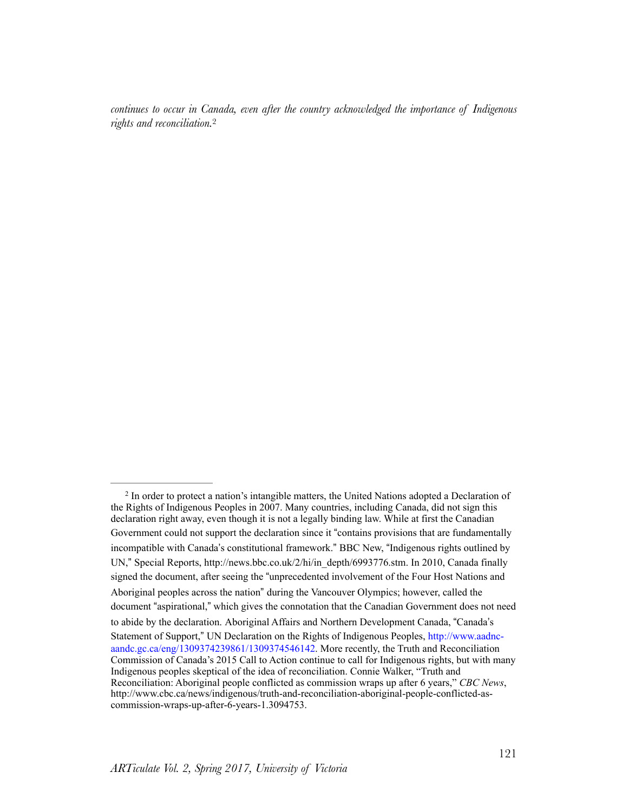<span id="page-1-1"></span>*continues to occur in Canada, even after the country acknowledged the importance of Indigenous rights and reconciliation.*[2](#page-1-0)

<span id="page-1-0"></span><sup>&</sup>lt;sup>[2](#page-1-1)</sup> In order to protect a nation's intangible matters, the United Nations adopted a Declaration of the Rights of Indigenous Peoples in 2007. Many countries, including Canada, did not sign this declaration right away, even though it is not a legally binding law. While at first the Canadian Government could not support the declaration since it "contains provisions that are fundamentally incompatible with Canada's constitutional framework." BBC New, "Indigenous rights outlined by UN," Special Reports, http://news.bbc.co.uk/2/hi/in\_depth/6993776.stm. In 2010, Canada finally signed the document, after seeing the "unprecedented involvement of the Four Host Nations and Aboriginal peoples across the nation" during the Vancouver Olympics; however, called the document "aspirational," which gives the connotation that the Canadian Government does not need to abide by the declaration. Aboriginal Affairs and Northern Development Canada, "Canada's Statement of Support," UN Declaration on the Rights of Indigenous Peoples, [http://www.aadnc](http://www.aadnc-aandc.gc.ca/eng/1309374239861/1309374546142)[aandc.gc.ca/eng/1309374239861/1309374546142](http://www.aadnc-aandc.gc.ca/eng/1309374239861/1309374546142). More recently, the Truth and Reconciliation Commission of Canada's 2015 Call to Action continue to call for Indigenous rights, but with many Indigenous peoples skeptical of the idea of reconciliation. Connie Walker, "Truth and Reconciliation: Aboriginal people conflicted as commission wraps up after 6 years," *CBC News*, http://www.cbc.ca/news/indigenous/truth-and-reconciliation-aboriginal-people-conflicted-ascommission-wraps-up-after-6-years-1.3094753.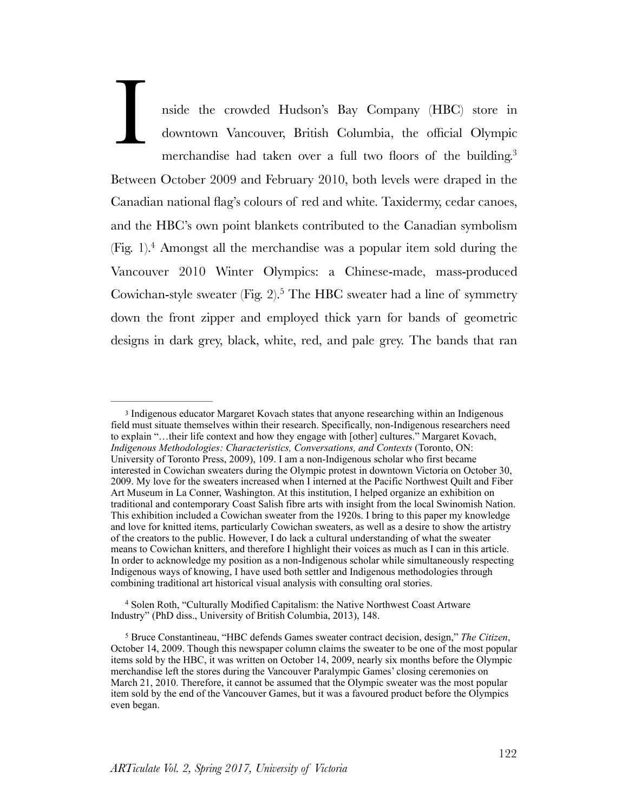<span id="page-2-3"></span>nside the crowded Hudson's Bay Company (HBC) store in downtown Vancouver, British Columbia, the official Olympic merchandise had taken over a full two floors of the building.<sup>3</sup> Between October 2009 and February 2010, both levels were draped in the Canadian national flag's colours of red and white. Taxidermy, cedar canoes, and the HBC's own point blankets contributed to the Canadian symbolism (Fig[.](#page-2-1) 1).<sup>[4](#page-2-1)</sup> Amongst all the merchandise was a popular item sold during the Vancouver 2010 Winter Olympics: a Chinese-made, mass-produced Cowichan-style sweater (Fig[.](#page-2-2) 2).<sup>[5](#page-2-2)</sup> The HBC sweater had a line of symmetry down the front zipper and employed thick yarn for bands of geometric designs in dark grey, black, white, red, and pale grey. The bands that ran I

<span id="page-2-5"></span><span id="page-2-4"></span><span id="page-2-0"></span><sup>&</sup>lt;sup>[3](#page-2-3)</sup> Indigenous educator Margaret Kovach states that anyone researching within an Indigenous field must situate themselves within their research. Specifically, non-Indigenous researchers need to explain "…their life context and how they engage with [other] cultures." Margaret Kovach, *Indigenous Methodologies: Characteristics, Conversations, and Contexts* (Toronto, ON: University of Toronto Press, 2009), 109. I am a non-Indigenous scholar who first became interested in Cowichan sweaters during the Olympic protest in downtown Victoria on October 30, 2009. My love for the sweaters increased when I interned at the Pacific Northwest Quilt and Fiber Art Museum in La Conner, Washington. At this institution, I helped organize an exhibition on traditional and contemporary Coast Salish fibre arts with insight from the local Swinomish Nation. This exhibition included a Cowichan sweater from the 1920s. I bring to this paper my knowledge and love for knitted items, particularly Cowichan sweaters, as well as a desire to show the artistry of the creators to the public. However, I do lack a cultural understanding of what the sweater means to Cowichan knitters, and therefore I highlight their voices as much as I can in this article. In order to acknowledge my position as a non-Indigenous scholar while simultaneously respecting Indigenous ways of knowing, I have used both settler and Indigenous methodologies through combining traditional art historical visual analysis with consulting oral stories.

<span id="page-2-1"></span><sup>&</sup>lt;sup>[4](#page-2-4)</sup> Solen Roth, "Culturally Modified Capitalism: the Native Northwest Coast Artware Industry" (PhD diss., University of British Columbia, 2013), 148.

<span id="page-2-2"></span><sup>&</sup>lt;sup>[5](#page-2-5)</sup> Bruce Constantineau, "HBC defends Games sweater contract decision, design," *The Citizen*, October 14, 2009. Though this newspaper column claims the sweater to be one of the most popular items sold by the HBC, it was written on October 14, 2009, nearly six months before the Olympic merchandise left the stores during the Vancouver Paralympic Games' closing ceremonies on March 21, 2010. Therefore, it cannot be assumed that the Olympic sweater was the most popular item sold by the end of the Vancouver Games, but it was a favoured product before the Olympics even began.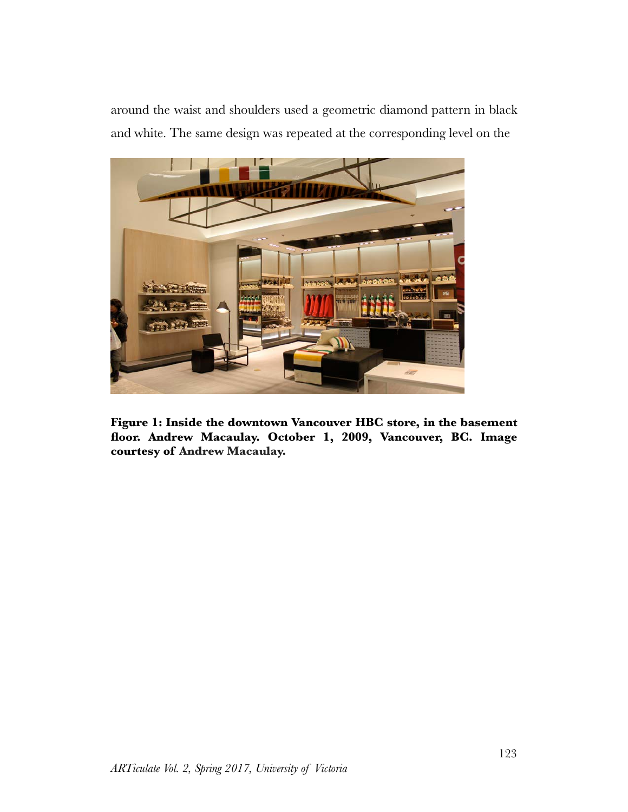around the waist and shoulders used a geometric diamond pattern in black and white. The same design was repeated at the corresponding level on the



**Figure 1: Inside the downtown Vancouver HBC store, in the basement floor. Andrew Macaulay. October 1, 2009, Vancouver, BC. Image courtesy of Andrew Macaulay.**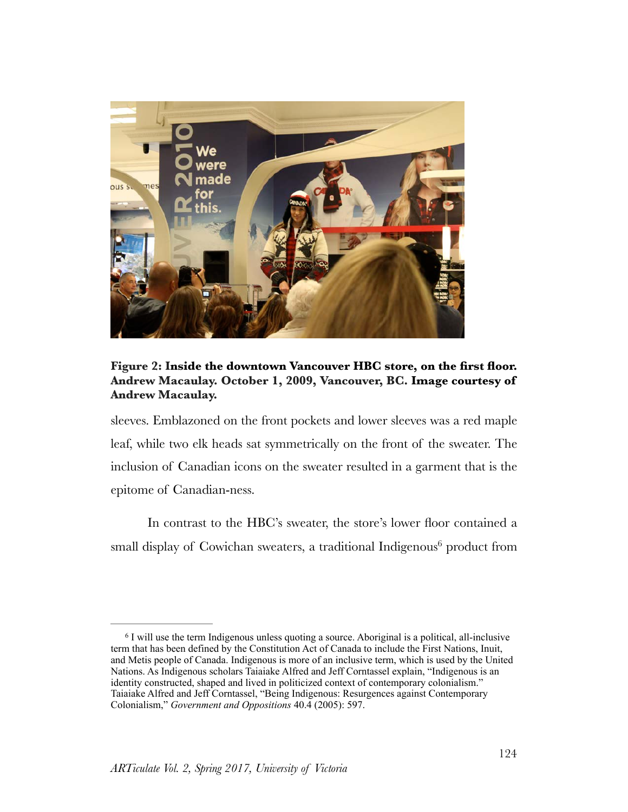

# **Figure 2: Inside the downtown Vancouver HBC store, on the first floor. Andrew Macaulay. October 1, 2009, Vancouver, BC. Image courtesy of Andrew Macaulay.**

sleeves. Emblazoned on the front pockets and lower sleeves was a red maple leaf, while two elk heads sat symmetrically on the front of the sweater. The inclusion of Canadian icons on the sweater resulted in a garment that is the epitome of Canadian-ness.

<span id="page-4-1"></span>In contrast to the HBC's sweater, the store's lower floor contained a [s](#page-4-0)mall display of Cowichan sweaters, a traditional Indigenous<sup>[6](#page-4-0)</sup> product from

<span id="page-4-0"></span><sup>&</sup>lt;sup>[6](#page-4-1)</sup> I will use the term Indigenous unless quoting a source. Aboriginal is a political, all-inclusive term that has been defined by the Constitution Act of Canada to include the First Nations, Inuit, and Metis people of Canada. Indigenous is more of an inclusive term, which is used by the United Nations. As Indigenous scholars Taiaiake Alfred and Jeff Corntassel explain, "Indigenous is an identity constructed, shaped and lived in politicized context of contemporary colonialism." Taiaiake Alfred and Jeff Corntassel, "Being Indigenous: Resurgences against Contemporary Colonialism," *Government and Oppositions* 40.4 (2005): 597.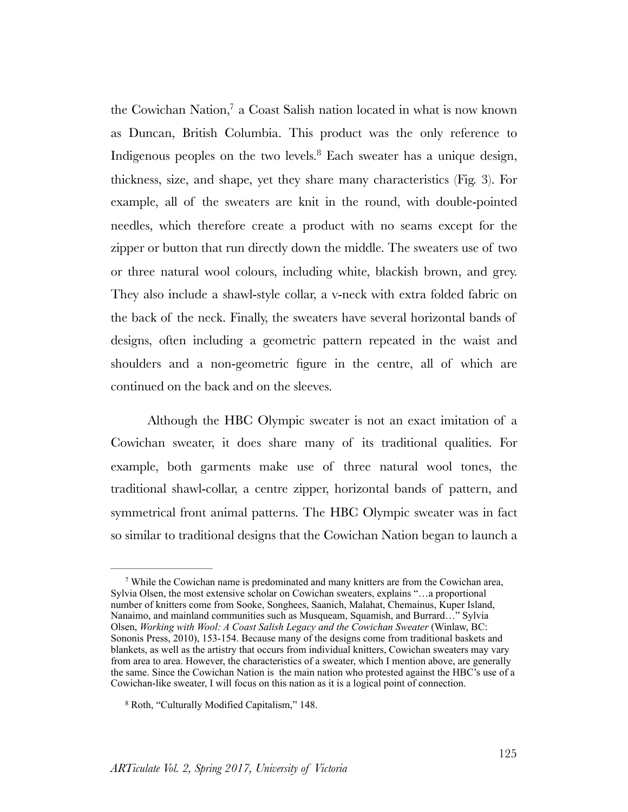<span id="page-5-3"></span><span id="page-5-2"></span>the Cowichan Nation, $^7$  $^7$  a Coast Salish nation located in what is now known as Duncan, British Columbia. This product was the only reference to Indigenous peoples on the two levels.<sup>[8](#page-5-1)</sup> Each sweater has a unique design, thickness, size, and shape, yet they share many characteristics (Fig. 3). For example, all of the sweaters are knit in the round, with double-pointed needles, which therefore create a product with no seams except for the zipper or button that run directly down the middle. The sweaters use of two or three natural wool colours, including white, blackish brown, and grey. They also include a shawl-style collar, a v-neck with extra folded fabric on the back of the neck. Finally, the sweaters have several horizontal bands of designs, often including a geometric pattern repeated in the waist and shoulders and a non-geometric figure in the centre, all of which are continued on the back and on the sleeves.

Although the HBC Olympic sweater is not an exact imitation of a Cowichan sweater, it does share many of its traditional qualities. For example, both garments make use of three natural wool tones, the traditional shawl-collar, a centre zipper, horizontal bands of pattern, and symmetrical front animal patterns. The HBC Olympic sweater was in fact so similar to traditional designs that the Cowichan Nation began to launch a

<span id="page-5-0"></span>While the Cowichan name is predominated and many knitters are from the Cowichan area, [7](#page-5-2) Sylvia Olsen, the most extensive scholar on Cowichan sweaters, explains "…a proportional number of knitters come from Sooke, Songhees, Saanich, Malahat, Chemainus, Kuper Island, Nanaimo, and mainland communities such as Musqueam, Squamish, and Burrard…" Sylvia Olsen, *Working with Wool: A Coast Salish Legacy and the Cowichan Sweater* (Winlaw, BC: Sononis Press, 2010), 153-154. Because many of the designs come from traditional baskets and blankets, as well as the artistry that occurs from individual knitters, Cowichan sweaters may vary from area to area. However, the characteristics of a sweater, which I mention above, are generally the same. Since the Cowichan Nation is the main nation who protested against the HBC's use of a Cowichan-like sweater, I will focus on this nation as it is a logical point of connection.

<span id="page-5-1"></span><sup>&</sup>lt;sup>[8](#page-5-3)</sup> Roth, "Culturally Modified Capitalism," 148.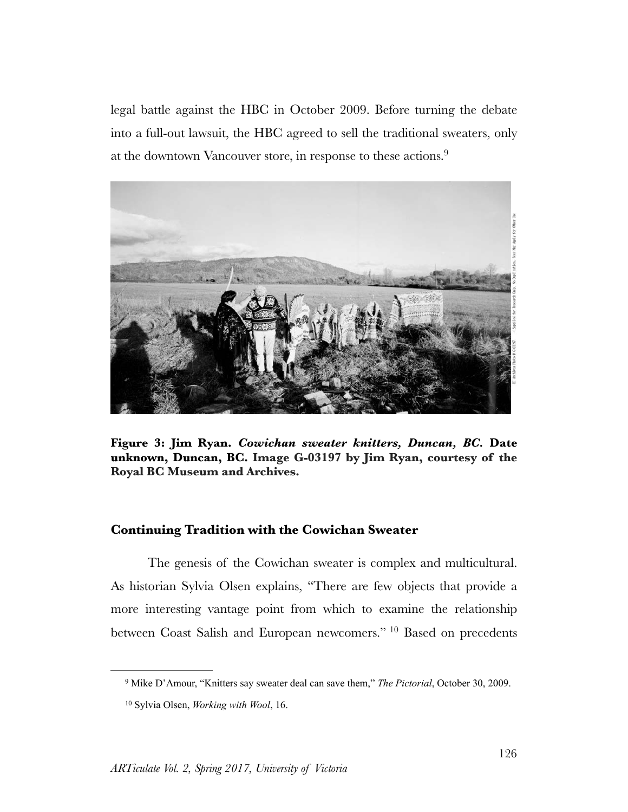<span id="page-6-2"></span>legal battle against the HBC in October 2009. Before turning the debate into a full-out lawsuit, the HBC agreed to sell the traditional sweaters, only at the downtown Vancouver store, in response to these actions.<sup>[9](#page-6-0)</sup>



**Figure 3: Jim Ryan.** *Cowichan sweater knitters, Duncan, BC.* **Date unknown, Duncan, BC. Image G-03197 by Jim Ryan, courtesy of the Royal BC Museum and Archives.**

#### **Continuing Tradition with the Cowichan Sweater**

The genesis of the Cowichan sweater is complex and multicultural. As historian Sylvia Olsen explains, "There are few objects that provide a more interesting vantage point from which to examine the relationship betweenCoast Salish and European newcomers." <sup>[10](#page-6-1)</sup> Based on precedents

<span id="page-6-3"></span><span id="page-6-0"></span><sup>&</sup>lt;sup>[9](#page-6-2)</sup> Mike D'Amour, "Knitters say sweater deal can save them," *The Pictorial*, October 30, 2009.

<span id="page-6-1"></span><sup>&</sup>lt;sup>[10](#page-6-3)</sup> Sylvia Olsen, *Working with Wool*, 16.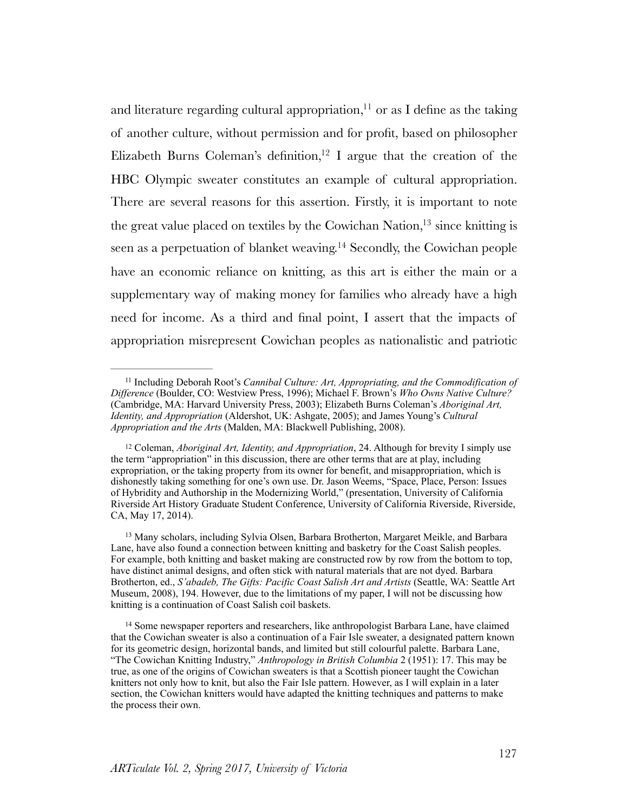<span id="page-7-7"></span><span id="page-7-6"></span><span id="page-7-5"></span><span id="page-7-4"></span>and literature regarding cultural appropriation[,](#page-7-0)  $\frac{11}{11}$  $\frac{11}{11}$  $\frac{11}{11}$  or as I define as the taking of another culture, without permission and for profit, based on philosopher Elizabeth Burns Coleman's definition[,](#page-7-1) <sup>[12](#page-7-1)</sup> I argue that the creation of the HBC Olympic sweater constitutes an example of cultural appropriation. There are several reasons for this assertion. Firstly, it is important to note the great value placed on textiles by the Cowichan Nation[,](#page-7-2)  $13 \text{ since}$  $13 \text{ since}$  knitting is seen as a perpetuation of blanket weaving.<sup>[14](#page-7-3)</sup> Secondly, the Cowichan people have an economic reliance on knitting, as this art is either the main or a supplementary way of making money for families who already have a high need for income. As a third and final point, I assert that the impacts of appropriation misrepresent Cowichan peoples as nationalistic and patriotic

<span id="page-7-2"></span><sup>13</sup>Many scholars, including Sylvia Olsen, Barbara Brotherton, Margaret Meikle, and Barbara Lane, have also found a connection between knitting and basketry for the Coast Salish peoples. For example, both knitting and basket making are constructed row by row from the bottom to top, have distinct animal designs, and often stick with natural materials that are not dyed. Barbara Brotherton, ed., *S'abadeb, The Gifts: Pacific Coast Salish Art and Artists* (Seattle, WA: Seattle Art Museum, 2008), 194. However, due to the limitations of my paper, I will not be discussing how knitting is a continuation of Coast Salish coil baskets.

<span id="page-7-3"></span><sup>14</sup>Some newspaper reporters and researchers, like anthropologist Barbara Lane, have claimed that the Cowichan sweater is also a continuation of a Fair Isle sweater, a designated pattern known for its geometric design, horizontal bands, and limited but still colourful palette. Barbara Lane, "The Cowichan Knitting Industry," *Anthropology in British Columbia* 2 (1951): 17. This may be true, as one of the origins of Cowichan sweaters is that a Scottish pioneer taught the Cowichan knitters not only how to knit, but also the Fair Isle pattern. However, as I will explain in a later section, the Cowichan knitters would have adapted the knitting techniques and patterns to make the process their own.

<span id="page-7-0"></span><sup>&</sup>lt;sup>[11](#page-7-4)</sup> Including Deborah Root's *Cannibal Culture: Art, Appropriating, and the Commodification of Difference* (Boulder, CO: Westview Press, 1996); Michael F. Brown's *Who Owns Native Culture?*  (Cambridge, MA: Harvard University Press, 2003); Elizabeth Burns Coleman's *Aboriginal Art, Identity, and Appropriation* (Aldershot, UK: Ashgate, 2005); and James Young's *Cultural Appropriation and the Arts* (Malden, MA: Blackwell Publishing, 2008).

<span id="page-7-1"></span><sup>&</sup>lt;sup>[12](#page-7-5)</sup> Coleman, *Aboriginal Art, Identity, and Appropriation*, 24. Although for brevity I simply use the term "appropriation" in this discussion, there are other terms that are at play, including expropriation, or the taking property from its owner for benefit, and misappropriation, which is dishonestly taking something for one's own use. Dr. Jason Weems, "Space, Place, Person: Issues of Hybridity and Authorship in the Modernizing World," (presentation, University of California Riverside Art History Graduate Student Conference, University of California Riverside, Riverside, CA, May 17, 2014).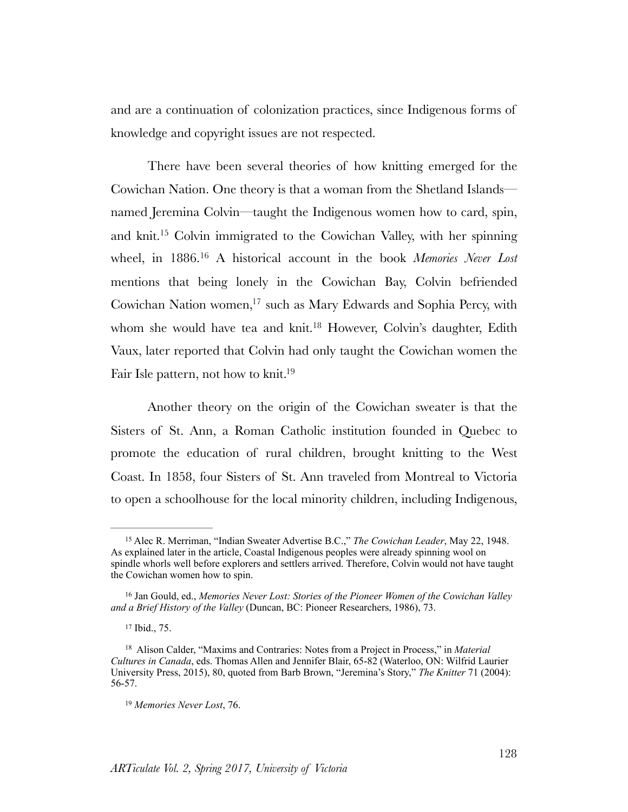and are a continuation of colonization practices, since Indigenous forms of knowledge and copyright issues are not respected.

<span id="page-8-6"></span><span id="page-8-5"></span>There have been several theories of how knitting emerged for the Cowichan Nation. One theory is that a woman from the Shetland Islands named Jeremina Colvin—taught the Indigenous women how to card, spin, and knit[.](#page-8-0)<sup>[15](#page-8-0)</sup> Colvin immigrated to the Cowichan Valley, with her spinning wheel, in 1886.<sup>16</sup> A historical account in the book *Memories Never Lost* mentions that being lonely in the Cowichan Bay, Colvin befriended Cowichan Nation women[,](#page-8-2)<sup>[17](#page-8-2)</sup> such as Mary Edwards and Sophia Percy, with whom she would have tea and knit.<sup>[18](#page-8-3)</sup> However, Colvin's daughter, Edith Vaux, later reported that Colvin had only taught the Cowichan women the Fair Isle pattern, not how to knit.<sup>19</sup>

<span id="page-8-9"></span><span id="page-8-8"></span><span id="page-8-7"></span>Another theory on the origin of the Cowichan sweater is that the Sisters of St. Ann, a Roman Catholic institution founded in Quebec to promote the education of rural children, brought knitting to the West Coast. In 1858, four Sisters of St. Ann traveled from Montreal to Victoria to open a schoolhouse for the local minority children, including Indigenous,

<span id="page-8-0"></span><sup>&</sup>lt;sup>[15](#page-8-5)</sup> Alec R. Merriman, "Indian Sweater Advertise B.C.," *The Cowichan Leader*, May 22, 1948. As explained later in the article, Coastal Indigenous peoples were already spinning wool on spindle whorls well before explorers and settlers arrived. Therefore, Colvin would not have taught the Cowichan women how to spin.

<span id="page-8-1"></span><sup>&</sup>lt;sup>[16](#page-8-6)</sup> Jan Gould, ed., *Memories Never Lost: Stories of the Pioneer Women of the Cowichan Valley and a Brief History of the Valley* (Duncan, BC: Pioneer Researchers, 1986), 73.

<span id="page-8-2"></span>[<sup>17</sup>](#page-8-7) Ibid., 75.

<span id="page-8-3"></span><sup>&</sup>lt;sup>[18](#page-8-8)</sup> Alison Calder, "Maxims and Contraries: Notes from a Project in Process," in *Material Cultures in Canada*, eds. Thomas Allen and Jennifer Blair, 65-82 (Waterloo, ON: Wilfrid Laurier University Press, 2015), 80, quoted from Barb Brown, "Jeremina's Story," *The Knitter* 71 (2004): 56-57.

<span id="page-8-4"></span><sup>&</sup>lt;sup>[19](#page-8-9)</sup> Memories Never Lost, 76.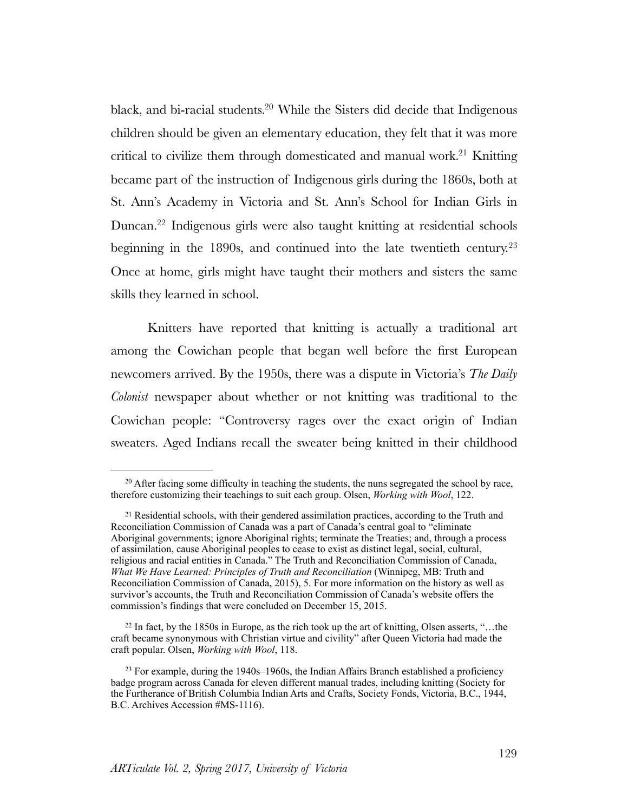<span id="page-9-5"></span><span id="page-9-4"></span>black, and bi-racial students[.](#page-9-0)<sup>[20](#page-9-0)</sup> While the Sisters did decide that Indigenous children should be given an elementary education, they felt that it was more critical to civilize them through domesticated and manual work[.](#page-9-1)<sup>[21](#page-9-1)</sup> Knitting became part of the instruction of Indigenous girls during the 1860s, both at St. Ann's Academy in Victoria and St. Ann's School for Indian Girls in Duncan[.](#page-9-2)<sup>[22](#page-9-2)</sup> Indigenous girls were also taught knitting at residential schools beginning in the 1890s, and continued into the late twentieth century.<sup>[23](#page-9-3)</sup> Once at home, girls might have taught their mothers and sisters the same skills they learned in school.

<span id="page-9-7"></span><span id="page-9-6"></span>Knitters have reported that knitting is actually a traditional art among the Cowichan people that began well before the first European newcomers arrived. By the 1950s, there was a dispute in Victoria's *The Daily Colonist* newspaper about whether or not knitting was traditional to the Cowichan people: "Controversy rages over the exact origin of Indian sweaters. Aged Indians recall the sweater being knitted in their childhood

<span id="page-9-2"></span><sup>22</sup>In fact, by the 1850s in Europe, as the rich took up the art of knitting, Olsen asserts, "...the craft became synonymous with Christian virtue and civility" after Queen Victoria had made the craft popular. Olsen, *Working with Wool*, 118.

<span id="page-9-0"></span> $20$ After facing some difficulty in teaching the students, the nuns segregated the school by race, therefore customizing their teachings to suit each group. Olsen, *Working with Wool*, 122.

<span id="page-9-1"></span><sup>&</sup>lt;sup>21</sup>Residential schools, with their gendered assimilation practices, according to the Truth and Reconciliation Commission of Canada was a part of Canada's central goal to "eliminate Aboriginal governments; ignore Aboriginal rights; terminate the Treaties; and, through a process of assimilation, cause Aboriginal peoples to cease to exist as distinct legal, social, cultural, religious and racial entities in Canada." The Truth and Reconciliation Commission of Canada, *What We Have Learned: Principles of Truth and Reconciliation* (Winnipeg, MB: Truth and Reconciliation Commission of Canada, 2015), 5. For more information on the history as well as survivor's accounts, the Truth and Reconciliation Commission of Canada's website offers the commission's findings that were concluded on December 15, 2015.

<span id="page-9-3"></span><sup>&</sup>lt;sup>23</sup>For example, during the  $1940s-1960s$ , the Indian Affairs Branch established a proficiency badge program across Canada for eleven different manual trades, including knitting (Society for the Furtherance of British Columbia Indian Arts and Crafts, Society Fonds, Victoria, B.C., 1944, B.C. Archives Accession #MS-1116).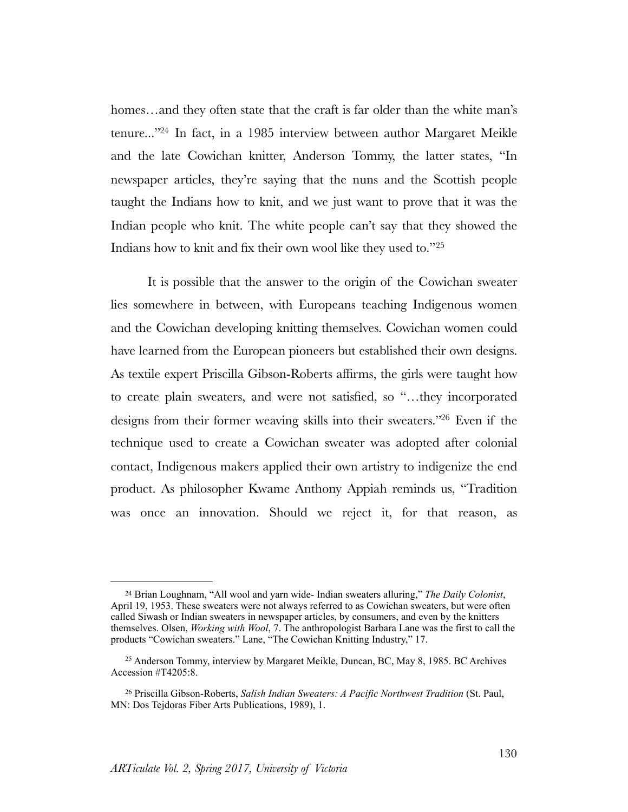<span id="page-10-3"></span>homes…and they often state that the craft is far older than the white man's tenure...["](#page-10-0)<sup>[24](#page-10-0)</sup> In fact, in a 1985 interview between author Margaret Meikle and the late Cowichan knitter, Anderson Tommy, the latter states, "In newspaper articles, they're saying that the nuns and the Scottish people taught the Indians how to knit, and we just want to prove that it was the Indian people who knit. The white people can't say that they showed the Indians how to knit and fix their own wool like they used to."[25](#page-10-1)

<span id="page-10-5"></span><span id="page-10-4"></span>It is possible that the answer to the origin of the Cowichan sweater lies somewhere in between, with Europeans teaching Indigenous women and the Cowichan developing knitting themselves. Cowichan women could have learned from the European pioneers but established their own designs. As textile expert Priscilla Gibson-Roberts affirms, the girls were taught how to create plain sweaters, and were not satisfied, so "…they incorporated designs from their former weaving skills into their sweaters.["](#page-10-2) <sup>[26](#page-10-2)</sup> Even if the technique used to create a Cowichan sweater was adopted after colonial contact, Indigenous makers applied their own artistry to indigenize the end product. As philosopher Kwame Anthony Appiah reminds us, "Tradition was once an innovation. Should we reject it, for that reason, as

<span id="page-10-0"></span>Brian Loughnam, "All wool and yarn wide- Indian sweaters alluring," *The Daily Colonist*, [24](#page-10-3) April 19, 1953. These sweaters were not always referred to as Cowichan sweaters, but were often called Siwash or Indian sweaters in newspaper articles, by consumers, and even by the knitters themselves. Olsen, *Working with Wool*, 7. The anthropologist Barbara Lane was the first to call the products "Cowichan sweaters." Lane, "The Cowichan Knitting Industry," 17.

<span id="page-10-1"></span><sup>&</sup>lt;sup>25</sup>Anderson Tommy, interview by Margaret Meikle, Duncan, BC, May 8, 1985. BC Archives Accession #T4205:8.

<span id="page-10-2"></span>Priscilla Gibson-Roberts, *Salish Indian Sweaters: A Pacific Northwest Tradition* (St. Paul, [26](#page-10-5) MN: Dos Tejdoras Fiber Arts Publications, 1989), 1.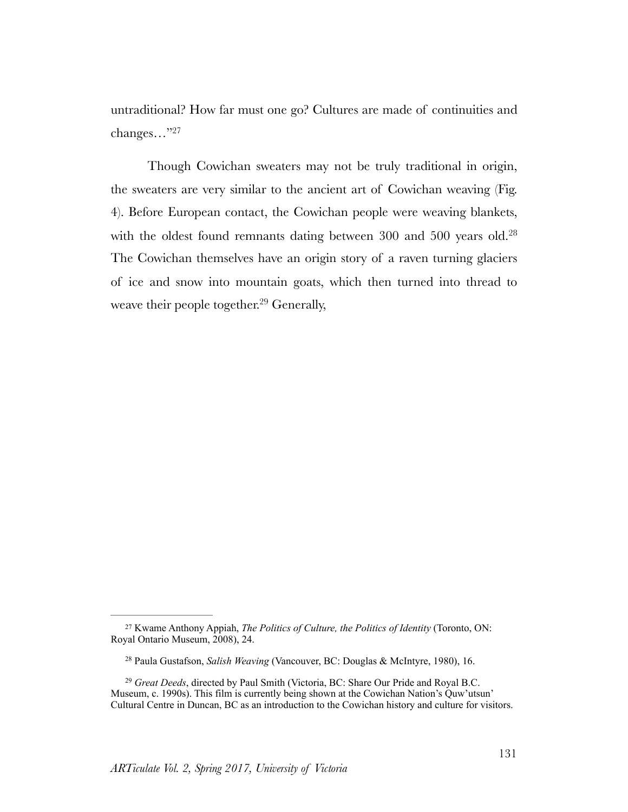<span id="page-11-3"></span>untraditional? How far must one go? Cultures are made of continuities and changes…["27](#page-11-0)

<span id="page-11-5"></span><span id="page-11-4"></span>Though Cowichan sweaters may not be truly traditional in origin, the sweaters are very similar to the ancient art of Cowichan weaving (Fig. 4). Before European contact, the Cowichan people were weaving blankets, with the oldest found remnants dating between 300 and 500 years old.<sup>[28](#page-11-1)</sup> The Cowichan themselves have an origin story of a raven turning glaciers of ice and snow into mountain goats, which then turned into thread to weave their people together. $29$  Generally,

<span id="page-11-0"></span><sup>&</sup>lt;sup>[27](#page-11-3)</sup> Kwame Anthony Appiah, *The Politics of Culture, the Politics of Identity* (Toronto, ON: Royal Ontario Museum, 2008), 24.

<span id="page-11-1"></span><sup>&</sup>lt;sup>[28](#page-11-4)</sup> Paula Gustafson, *Salish Weaving* (Vancouver, BC: Douglas & McIntyre, 1980), 16.

<span id="page-11-2"></span><sup>&</sup>lt;sup>[29](#page-11-5)</sup> Great Deeds, directed by Paul Smith (Victoria, BC: Share Our Pride and Royal B.C. Museum, c. 1990s). This film is currently being shown at the Cowichan Nation's Quw'utsun' Cultural Centre in Duncan, BC as an introduction to the Cowichan history and culture for visitors.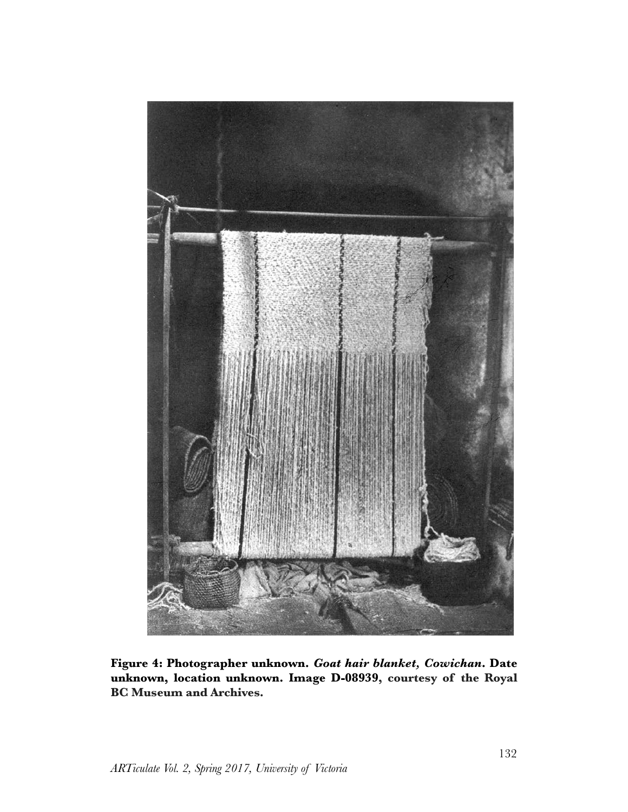

**Figure 4: Photographer unknown.** *Goat hair blanket, Cowichan***. Date unknown, location unknown. Image D-08939, courtesy of the Royal BC Museum and Archives.**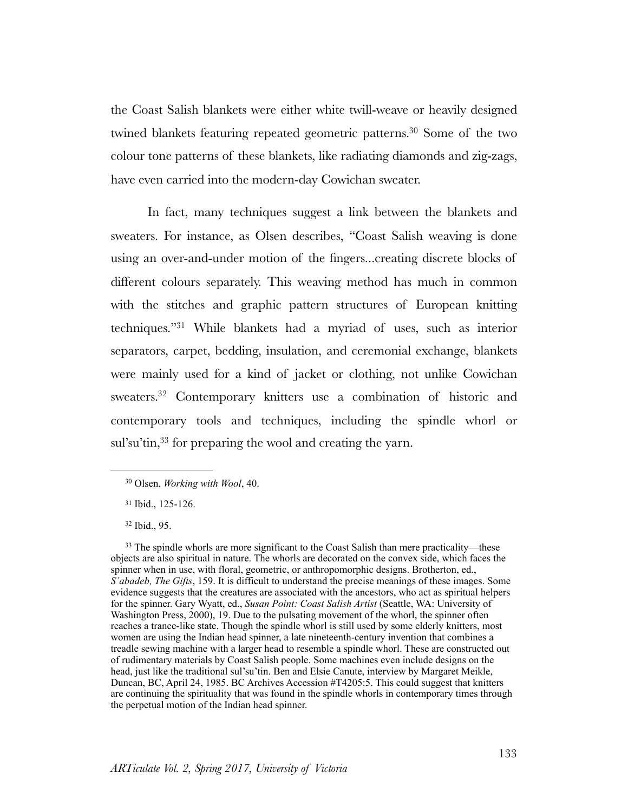<span id="page-13-4"></span>the Coast Salish blankets were either white twill-weave or heavily designed twined blankets featuring repeated geometric patterns.<sup>[30](#page-13-0)</sup> Some of the two colour tone patterns of these blankets, like radiating diamonds and zig-zags, have even carried into the modern-day Cowichan sweater.

<span id="page-13-5"></span>In fact, many techniques suggest a link between the blankets and sweaters. For instance, as Olsen describes, "Coast Salish weaving is done using an over-and-under motion of the fingers...creating discrete blocks of different colours separately. This weaving method has much in common with the stitches and graphic pattern structures of European knitting techniques.["](#page-13-1)<sup>[31](#page-13-1)</sup> While blankets had a myriad of uses, such as interior separators, carpet, bedding, insulation, and ceremonial exchange, blankets were mainly used for a kind of jacket or clothing, not unlike Cowichan sweaters[.](#page-13-2)<sup>[32](#page-13-2)</sup> Contemporary knitters use a combination of historic and contemporary tools and techniques, including the spindle whorl or sul'su'tin[,](#page-13-3)  $33$  for preparing the wool and creating the yarn.

<span id="page-13-2"></span>[32](#page-13-6) Ibid., 95.

<span id="page-13-3"></span><sup>33</sup>The spindle whorls are more significant to the Coast Salish than mere practicality—these objects are also spiritual in nature. The whorls are decorated on the convex side, which faces the spinner when in use, with floral, geometric, or anthropomorphic designs. Brotherton, ed., *S'abadeb, The Gifts*, 159. It is difficult to understand the precise meanings of these images. Some evidence suggests that the creatures are associated with the ancestors, who act as spiritual helpers for the spinner. Gary Wyatt, ed., *Susan Point: Coast Salish Artist* (Seattle, WA: University of Washington Press, 2000), 19. Due to the pulsating movement of the whorl, the spinner often reaches a trance-like state. Though the spindle whorl is still used by some elderly knitters, most women are using the Indian head spinner, a late nineteenth-century invention that combines a treadle sewing machine with a larger head to resemble a spindle whorl. These are constructed out of rudimentary materials by Coast Salish people. Some machines even include designs on the head, just like the traditional sul'su'tin. Ben and Elsie Canute, interview by Margaret Meikle, Duncan, BC, April 24, 1985. BC Archives Accession #T4205:5. This could suggest that knitters are continuing the spirituality that was found in the spindle whorls in contemporary times through the perpetual motion of the Indian head spinner.

<span id="page-13-7"></span><span id="page-13-6"></span><span id="page-13-0"></span><sup>&</sup>lt;sup>[30](#page-13-4)</sup> Olsen, *Working with Wool*, 40.

<span id="page-13-1"></span>[<sup>31</sup>](#page-13-5) Ibid., 125-126.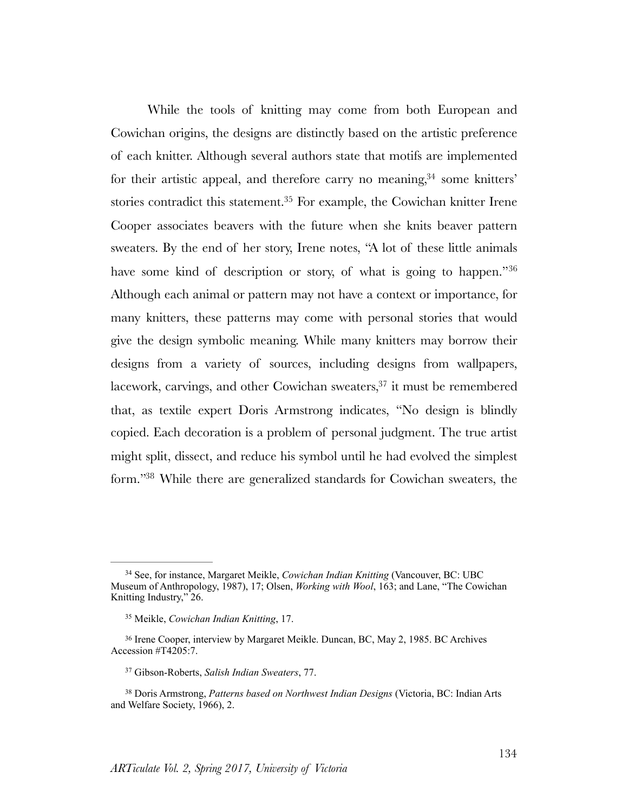<span id="page-14-7"></span><span id="page-14-6"></span><span id="page-14-5"></span>While the tools of knitting may come from both European and Cowichan origins, the designs are distinctly based on the artistic preference of each knitter. Although several authors state that motifs are implemented for their artistic appeal[,](#page-14-0) and therefore carry no meaning,  $34$  some knitters' stories contradict this statement.<sup>[35](#page-14-1)</sup> For example, the Cowichan knitter Irene Cooper associates beavers with the future when she knits beaver pattern sweaters. By the end of her story, Irene notes, "A lot of these little animals have some kind of description or story, of what is going to happen."<sup>[36](#page-14-2)</sup> Although each animal or pattern may not have a context or importance, for many knitters, these patterns may come with personal stories that would give the design symbolic meaning. While many knitters may borrow their designs from a variety of sources, including designs from wallpapers, lacework[,](#page-14-3) carvings, and other Cowichan sweaters,  $37$  it must be remembered that, as textile expert Doris Armstrong indicates, "No design is blindly copied. Each decoration is a problem of personal judgment. The true artist might split, dissect, and reduce his symbol until he had evolved the simplest form.["](#page-14-4)<sup>[38](#page-14-4)</sup> While there are generalized standards for Cowichan sweaters, the

<span id="page-14-9"></span><span id="page-14-8"></span><span id="page-14-0"></span><sup>&</sup>lt;sup>[34](#page-14-5)</sup> See, for instance, Margaret Meikle, *Cowichan Indian Knitting* (Vancouver, BC: UBC Museum of Anthropology, 1987), 17; Olsen, *Working with Wool*, 163; and Lane, "The Cowichan Knitting Industry," 26.

<span id="page-14-1"></span>Meikle, *Cowichan Indian Knitting*, 17. [35](#page-14-6)

<span id="page-14-2"></span><sup>&</sup>lt;sup>36</sup>Irene Cooper, interview by Margaret Meikle. Duncan, BC, May 2, 1985. BC Archives Accession #T4205:7.

<span id="page-14-3"></span><sup>&</sup>lt;sup>[37](#page-14-8)</sup> Gibson-Roberts, *Salish Indian Sweaters*, 77.

<span id="page-14-4"></span><sup>&</sup>lt;sup>[38](#page-14-9)</sup> Doris Armstrong, *Patterns based on Northwest Indian Designs* (Victoria, BC: Indian Arts and Welfare Society, 1966), 2.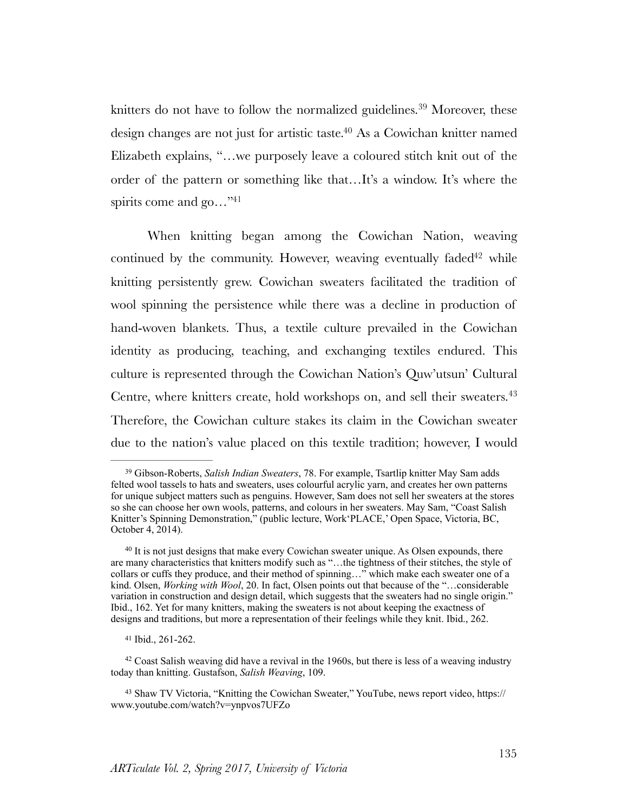<span id="page-15-6"></span><span id="page-15-5"></span>knitters do not have to follow the normalized guidelines.<sup>[39](#page-15-0)</sup> Moreover, these design changes are not just for artistic taste[.](#page-15-1) $40$  As a Cowichan knitter named Elizabeth explains, "…we purposely leave a coloured stitch knit out of the order of the pattern or something like that…It's a window. It's where the spirits come and go..."<sup>41</sup>

<span id="page-15-8"></span><span id="page-15-7"></span>When knitting began among the Cowichan Nation, weaving continue[d](#page-15-3) by the community. However, weaving eventually faded<sup> $42$ </sup> while knitting persistently grew. Cowichan sweaters facilitated the tradition of wool spinning the persistence while there was a decline in production of hand-woven blankets. Thus, a textile culture prevailed in the Cowichan identity as producing, teaching, and exchanging textiles endured. This culture is represented through the Cowichan Nation's Quw'utsun' Cultural Centre, where knitters create, hold workshops on, and sell their sweaters.<sup>[43](#page-15-4)</sup> Therefore, the Cowichan culture stakes its claim in the Cowichan sweater due to the nation's value placed on this textile tradition; however, I would

<span id="page-15-9"></span><span id="page-15-0"></span><sup>&</sup>lt;sup>[39](#page-15-5)</sup> Gibson-Roberts, *Salish Indian Sweaters*, 78. For example, Tsartlip knitter May Sam adds felted wool tassels to hats and sweaters, uses colourful acrylic yarn, and creates her own patterns for unique subject matters such as penguins. However, Sam does not sell her sweaters at the stores so she can choose her own wools, patterns, and colours in her sweaters. May Sam, "Coast Salish Knitter's Spinning Demonstration," (public lecture, Work'PLACE,' Open Space, Victoria, BC, October 4, 2014).

<span id="page-15-1"></span> $40$ It is not just designs that make every Cowichan sweater unique. As Olsen expounds, there are many characteristics that knitters modify such as "…the tightness of their stitches, the style of collars or cuffs they produce, and their method of spinning…" which make each sweater one of a kind. Olsen, *Working with Wool*, 20. In fact, Olsen points out that because of the "…considerable variation in construction and design detail, which suggests that the sweaters had no single origin." Ibid., 162. Yet for many knitters, making the sweaters is not about keeping the exactness of designs and traditions, but more a representation of their feelings while they knit. Ibid., 262.

<span id="page-15-2"></span>[<sup>41</sup>](#page-15-7) Ibid., 261-262.

<span id="page-15-3"></span> $42$ Coast Salish weaving did have a revival in the 1960s, but there is less of a weaving industry today than knitting. Gustafson, *Salish Weaving*, 109.

<span id="page-15-4"></span>[<sup>43</sup>](#page-15-9) Shaw TV Victoria, "Knitting the Cowichan Sweater," YouTube, news report video, https:// www.youtube.com/watch?v=ynpvos7UFZo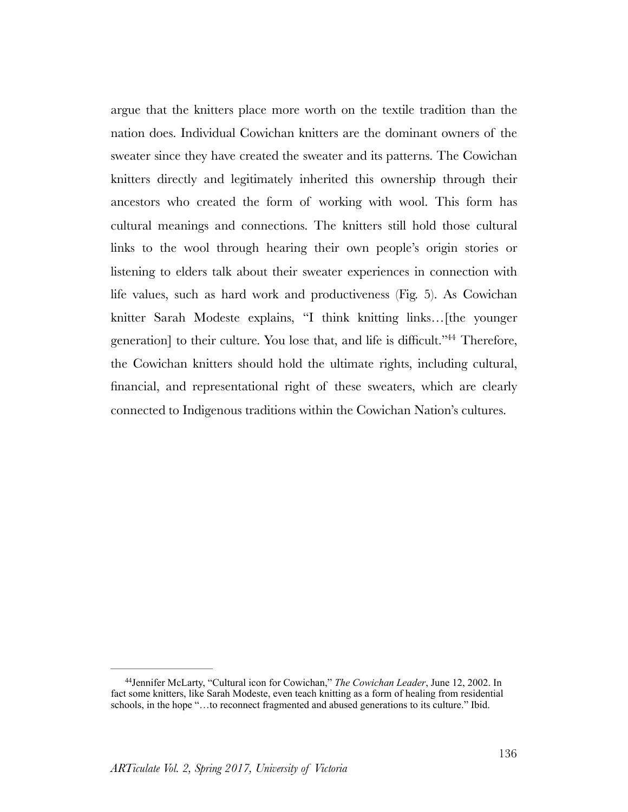<span id="page-16-1"></span>argue that the knitters place more worth on the textile tradition than the nation does. Individual Cowichan knitters are the dominant owners of the sweater since they have created the sweater and its patterns. The Cowichan knitters directly and legitimately inherited this ownership through their ancestors who created the form of working with wool. This form has cultural meanings and connections. The knitters still hold those cultural links to the wool through hearing their own people's origin stories or listening to elders talk about their sweater experiences in connection with life values, such as hard work and productiveness (Fig. 5). As Cowichan knitter Sarah Modeste explains, "I think knitting links…[the younger generation] to their culture. You lose that, and life is difficult.["](#page-16-0)<sup>[44](#page-16-0)</sup> Therefore, the Cowichan knitters should hold the ultimate rights, including cultural, financial, and representational right of these sweaters, which are clearly connected to Indigenous traditions within the Cowichan Nation's cultures.

<span id="page-16-0"></span><sup>&</sup>lt;sup>[44](#page-16-1)</sup> Jennifer McLarty, "Cultural icon for Cowichan," The Cowichan Leader, June 12, 2002. In fact some knitters, like Sarah Modeste, even teach knitting as a form of healing from residential schools, in the hope "…to reconnect fragmented and abused generations to its culture." Ibid.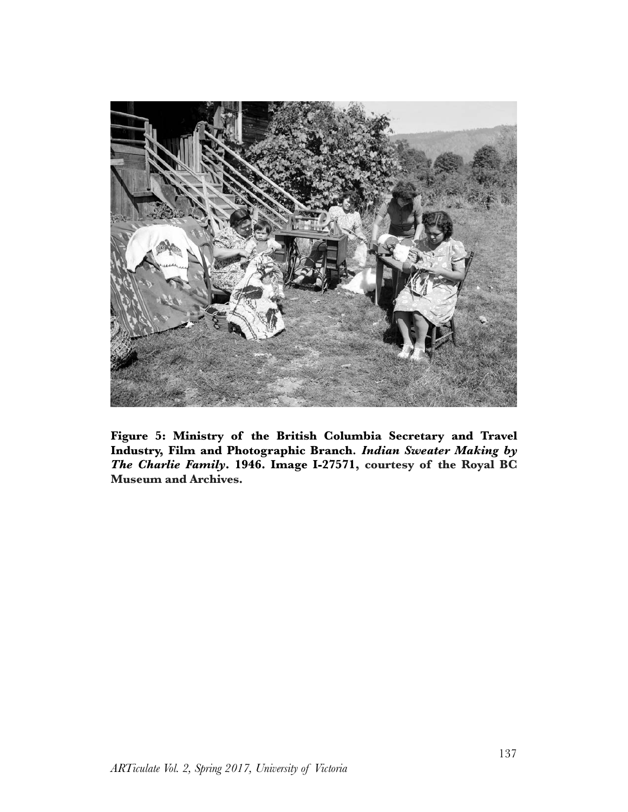

**Figure 5: Ministry of the British Columbia Secretary and Travel Industry, Film and Photographic Branch***. Indian Sweater Making by The Charlie Family***. 1946. Image I-27571, courtesy of the Royal BC Museum and Archives.**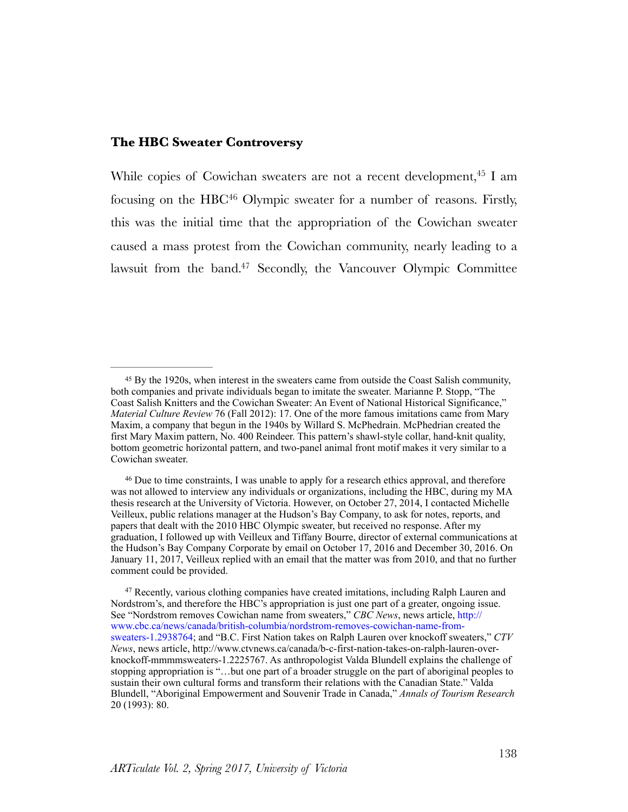### **The HBC Sweater Controversy**

<span id="page-18-5"></span><span id="page-18-4"></span><span id="page-18-3"></span>While copies of Cowichan sweaters are not a recent development[,](#page-18-0)  $45$  I am focusing on the HBC<sup>[46](#page-18-1)</sup> Olympic sweater for a number of reasons. Firstly, this was the initial time that the appropriation of the Cowichan sweater caused a mass protest from the Cowichan community, nearly leading to a lawsuit from the band[.](#page-18-2)<sup>[47](#page-18-2)</sup> Secondly, the Vancouver Olympic Committee

<span id="page-18-1"></span><sup>46</sup>Due to time constraints, I was unable to apply for a research ethics approval, and therefore was not allowed to interview any individuals or organizations, including the HBC, during my MA thesis research at the University of Victoria. However, on October 27, 2014, I contacted Michelle Veilleux, public relations manager at the Hudson's Bay Company, to ask for notes, reports, and papers that dealt with the 2010 HBC Olympic sweater, but received no response. After my graduation, I followed up with Veilleux and Tiffany Bourre, director of external communications at the Hudson's Bay Company Corporate by email on October 17, 2016 and December 30, 2016. On January 11, 2017, Veilleux replied with an email that the matter was from 2010, and that no further comment could be provided.

<span id="page-18-0"></span>By the 1920s, when interest in the sweaters came from outside the Coast Salish community, [45](#page-18-3) both companies and private individuals began to imitate the sweater. Marianne P. Stopp, "The Coast Salish Knitters and the Cowichan Sweater: An Event of National Historical Significance," *Material Culture Review* 76 (Fall 2012): 17. One of the more famous imitations came from Mary Maxim, a company that begun in the 1940s by Willard S. McPhedrain. McPhedrian created the first Mary Maxim pattern, No. 400 Reindeer. This pattern's shawl-style collar, hand-knit quality, bottom geometric horizontal pattern, and two-panel animal front motif makes it very similar to a Cowichan sweater.

<span id="page-18-2"></span><sup>&</sup>lt;sup>47</sup>Recently, various clothing companies have created imitations, including Ralph Lauren and Nordstrom's, and therefore the HBC's appropriation is just one part of a greater, ongoing issue. See "Nordstrom removes Cowichan name from sweaters," *CBC News*, news article, [http://](http://www.cbc.ca/news/canada/british-columbia/nordstrom-removes-cowichan-name-from-sweaters-1.2938764) [www.cbc.ca/news/canada/british-columbia/nordstrom-removes-cowichan-name-from](http://www.cbc.ca/news/canada/british-columbia/nordstrom-removes-cowichan-name-from-sweaters-1.2938764)[sweaters-1.2938764](http://www.cbc.ca/news/canada/british-columbia/nordstrom-removes-cowichan-name-from-sweaters-1.2938764); and "B.C. First Nation takes on Ralph Lauren over knockoff sweaters," *CTV News*, news article, http://www.ctvnews.ca/canada/b-c-first-nation-takes-on-ralph-lauren-overknockoff-mmmmsweaters-1.2225767. As anthropologist Valda Blundell explains the challenge of stopping appropriation is "…but one part of a broader struggle on the part of aboriginal peoples to sustain their own cultural forms and transform their relations with the Canadian State." Valda Blundell, "Aboriginal Empowerment and Souvenir Trade in Canada," *Annals of Tourism Research* 20 (1993): 80.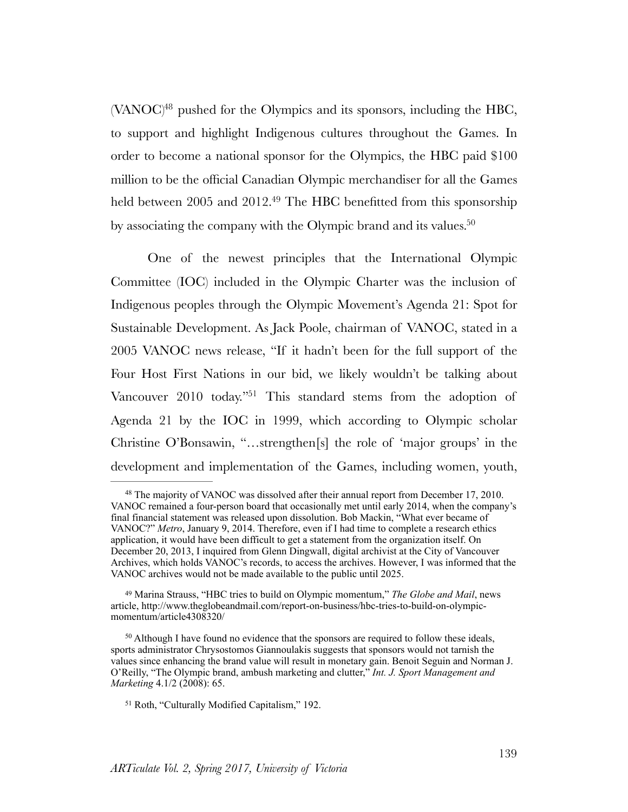<span id="page-19-4"></span> $(VANOC)^{48}$  $(VANOC)^{48}$  $(VANOC)^{48}$  $(VANOC)^{48}$  $(VANOC)^{48}$  pushed for the Olympics and its sponsors, including the HBC, to support and highlight Indigenous cultures throughout the Games. In order to become a national sponsor for the Olympics, the HBC paid \$100 million to be the official Canadian Olympic merchandiser for all the Games held between 2005 and 2012.<sup>[49](#page-19-1)</sup> The HBC benefitted from this sponsorship by associating the company with the Olympic brand and its values.<sup>50</sup>

<span id="page-19-6"></span><span id="page-19-5"></span>One of the newest principles that the International Olympic Committee (IOC) included in the Olympic Charter was the inclusion of Indigenous peoples through the Olympic Movement's Agenda 21: Spot for Sustainable Development. As Jack Poole, chairman of VANOC, stated in a 2005 VANOC news release, "If it hadn't been for the full support of the Four Host First Nations in our bid, we likely wouldn't be talking about Vancouver  $2010$  today.<sup>["](#page-19-3)[51](#page-19-3)</sup> This standard stems from the adoption of Agenda 21 by the IOC in 1999, which according to Olympic scholar Christine O'Bonsawin, "…strengthen[s] the role of 'major groups' in the development and implementation of the Games, including women, youth,

<span id="page-19-7"></span><span id="page-19-0"></span><sup>&</sup>lt;sup>48</sup>The majority of VANOC was dissolved after their annual report from December 17, 2010. VANOC remained a four-person board that occasionally met until early 2014, when the company's final financial statement was released upon dissolution. Bob Mackin, "What ever became of VANOC?" *Metro*, January 9, 2014. Therefore, even if I had time to complete a research ethics application, it would have been difficult to get a statement from the organization itself. On December 20, 2013, I inquired from Glenn Dingwall, digital archivist at the City of Vancouver Archives, which holds VANOC's records, to access the archives. However, I was informed that the VANOC archives would not be made available to the public until 2025.

<span id="page-19-1"></span><sup>&</sup>lt;sup>[49](#page-19-5)</sup> Marina Strauss, "HBC tries to build on Olympic momentum," *The Globe and Mail*, news article, http://www.theglobeandmail.com/report-on-business/hbc-tries-to-build-on-olympicmomentum/article4308320/

<span id="page-19-2"></span><sup>&</sup>lt;sup>50</sup>Although I have found no evidence that the sponsors are required to follow these ideals, sports administrator Chrysostomos Giannoulakis suggests that sponsors would not tarnish the values since enhancing the brand value will result in monetary gain. Benoit Seguin and Norman J. O'Reilly, "The Olympic brand, ambush marketing and clutter," *Int. J. Sport Management and Marketing* 4.1/2 (2008): 65.

<span id="page-19-3"></span><sup>&</sup>lt;sup>[51](#page-19-7)</sup> Roth, "Culturally Modified Capitalism," 192.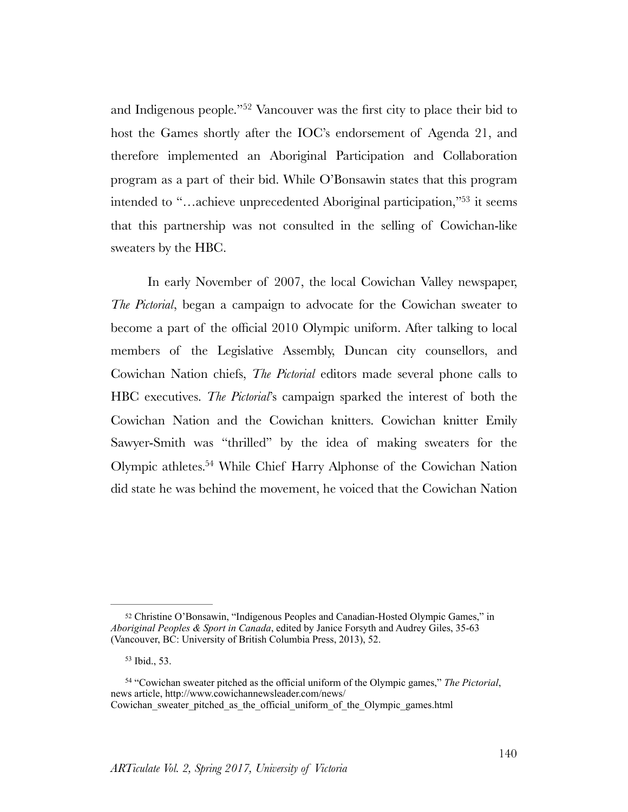<span id="page-20-3"></span>and Indigenous people."<sup>[52](#page-20-0)</sup> Vancouver was the first city to place their bid to host the Games shortly after the IOC's endorsement of Agenda 21, and therefore implemented an Aboriginal Participation and Collaboration program as a part of their bid. While O'Bonsawin states that this program intended to ["](#page-20-1)...achieve unprecedented Aboriginal participation,"<sup>[53](#page-20-1)</sup> it seems that this partnership was not consulted in the selling of Cowichan-like sweaters by the HBC.

<span id="page-20-4"></span>In early November of 2007, the local Cowichan Valley newspaper, *The Pictorial*, began a campaign to advocate for the Cowichan sweater to become a part of the official 2010 Olympic uniform. After talking to local members of the Legislative Assembly, Duncan city counsellors, and Cowichan Nation chiefs, *The Pictorial* editors made several phone calls to HBC executives. *The Pictorial*'s campaign sparked the interest of both the Cowichan Nation and the Cowichan knitters. Cowichan knitter Emily Sawyer-Smith was "thrilled" by the idea of making sweaters for the Olympic athletes[.](#page-20-2)<sup>[54](#page-20-2)</sup> While Chief Harry Alphonse of the Cowichan Nation did state he was behind the movement, he voiced that the Cowichan Nation

<span id="page-20-5"></span><span id="page-20-0"></span><sup>52</sup>Christine O'Bonsawin, "Indigenous Peoples and Canadian-Hosted Olympic Games," in *Aboriginal Peoples & Sport in Canada*, edited by Janice Forsyth and Audrey Giles, 35-63 (Vancouver, BC: University of British Columbia Press, 2013), 52.

<span id="page-20-1"></span> $53$  Ibid.,  $53$ .

<span id="page-20-2"></span><sup>&</sup>lt;sup>[54](#page-20-5)</sup> "Cowichan sweater pitched as the official uniform of the Olympic games," *The Pictorial*, news article, http://www.cowichannewsleader.com/news/ Cowichan\_sweater\_pitched\_as\_the\_official\_uniform\_of\_the\_Olympic\_games.html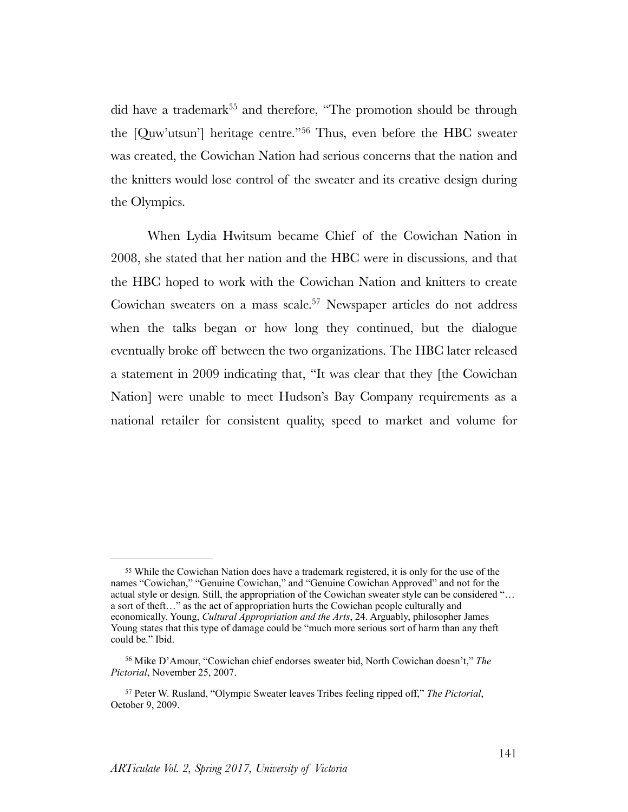<span id="page-21-4"></span><span id="page-21-3"></span>did have a trademark<sup>[55](#page-21-0)</sup> and therefore, "The promotion should be through the [Quw'utsun'] heritage centre."<sup>[56](#page-21-1)</sup> Thus, even before the HBC sweater was created, the Cowichan Nation had serious concerns that the nation and the knitters would lose control of the sweater and its creative design during the Olympics.

<span id="page-21-5"></span>When Lydia Hwitsum became Chief of the Cowichan Nation in 2008, she stated that her nation and the HBC were in discussions, and that the HBC hoped to work with the Cowichan Nation and knitters to create Cowichan sweaters on a mass scale.<sup>[57](#page-21-2)</sup> Newspaper articles do not address when the talks began or how long they continued, but the dialogue eventually broke off between the two organizations. The HBC later released a statement in 2009 indicating that, "It was clear that they [the Cowichan Nation] were unable to meet Hudson's Bay Company requirements as a national retailer for consistent quality, speed to market and volume for

<span id="page-21-0"></span><sup>&</sup>lt;sup>55</sup>While the Cowichan Nation does have a trademark registered, it is only for the use of the names "Cowichan," "Genuine Cowichan," and "Genuine Cowichan Approved" and not for the actual style or design. Still, the appropriation of the Cowichan sweater style can be considered "... a sort of theft…" as the act of appropriation hurts the Cowichan people culturally and economically. Young, *Cultural Appropriation and the Arts*, 24. Arguably, philosopher James Young states that this type of damage could be "much more serious sort of harm than any theft could be." Ibid.

<span id="page-21-1"></span><sup>&</sup>lt;sup>[56](#page-21-4)</sup> Mike D'Amour, "Cowichan chief endorses sweater bid, North Cowichan doesn't," *The Pictorial*, November 25, 2007.

<span id="page-21-2"></span><sup>&</sup>lt;sup>[57](#page-21-5)</sup> Peter W. Rusland, "Olympic Sweater leaves Tribes feeling ripped off," *The Pictorial*, October 9, 2009.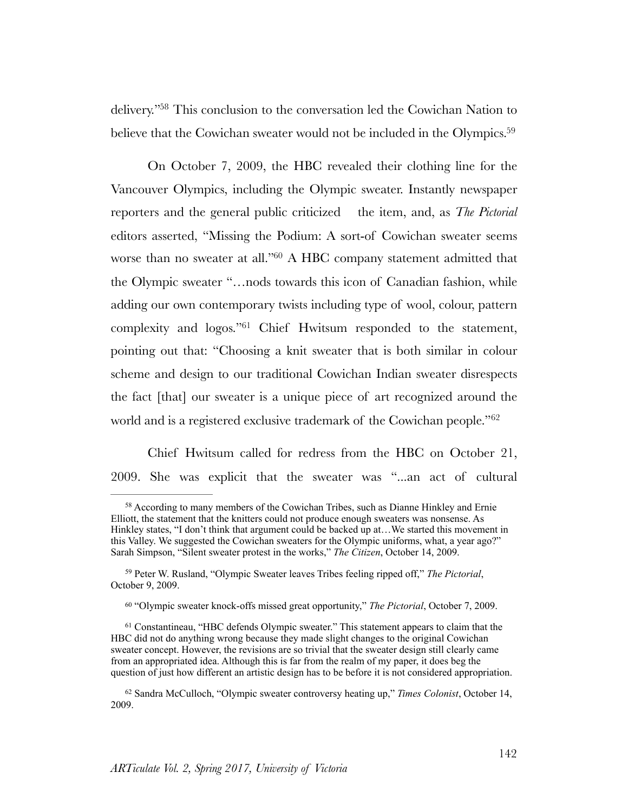<span id="page-22-6"></span><span id="page-22-5"></span>delivery.<sup>["](#page-22-0)[58](#page-22-0)</sup> This conclusion to the conversation led the Cowichan Nation to believe that the Cowichan sweater would not be included in the Olympics.<sup>59</sup>

<span id="page-22-7"></span>On October 7, 2009, the HBC revealed their clothing line for the Vancouver Olympics, including the Olympic sweater. Instantly newspaper reporters and the general public criticized the item, and, as *The Pictorial* editors asserted, "Missing the Podium: A sort-of Cowichan sweater seems worse than no sweater at all.["](#page-22-2) $60$  A HBC company statement admitted that the Olympic sweater "…nods towards this icon of Canadian fashion, while adding our own contemporary twists including type of wool, colour, pattern complexity and logos.["](#page-22-3) $61$  Chief Hwitsum responded to the statement, pointing out that: "Choosing a knit sweater that is both similar in colour scheme and design to our traditional Cowichan Indian sweater disrespects the fact [that] our sweater is a unique piece of art recognized around the world and is a registered exclusive trademark of the Cowichan people.<sup>"[62](#page-22-4)</sup>

<span id="page-22-9"></span><span id="page-22-8"></span>Chief Hwitsum called for redress from the HBC on October 21, 2009. She was explicit that the sweater was "...an act of cultural

<span id="page-22-0"></span><sup>&</sup>lt;sup>58</sup>According to many members of the Cowichan Tribes, such as Dianne Hinkley and Ernie Elliott, the statement that the knitters could not produce enough sweaters was nonsense. As Hinkley states, "I don't think that argument could be backed up at…We started this movement in this Valley. We suggested the Cowichan sweaters for the Olympic uniforms, what, a year ago?" Sarah Simpson, "Silent sweater protest in the works," *The Citizen*, October 14, 2009.

<span id="page-22-1"></span><sup>&</sup>lt;sup>[59](#page-22-6)</sup> Peter W. Rusland, "Olympic Sweater leaves Tribes feeling ripped off," *The Pictorial*, October 9, 2009.

<span id="page-22-2"></span><sup>&</sup>lt;sup>[60](#page-22-7)</sup> "Olympic sweater knock-offs missed great opportunity," *The Pictorial*, October 7, 2009.

<span id="page-22-3"></span><sup>&</sup>lt;sup>61</sup>Constantineau, "HBC defends Olympic sweater." This statement appears to claim that the HBC did not do anything wrong because they made slight changes to the original Cowichan sweater concept. However, the revisions are so trivial that the sweater design still clearly came from an appropriated idea. Although this is far from the realm of my paper, it does beg the question of just how different an artistic design has to be before it is not considered appropriation.

<span id="page-22-4"></span><sup>&</sup>lt;sup>[62](#page-22-9)</sup> Sandra McCulloch, "Olympic sweater controversy heating up," *Times Colonist*, October 14, 2009.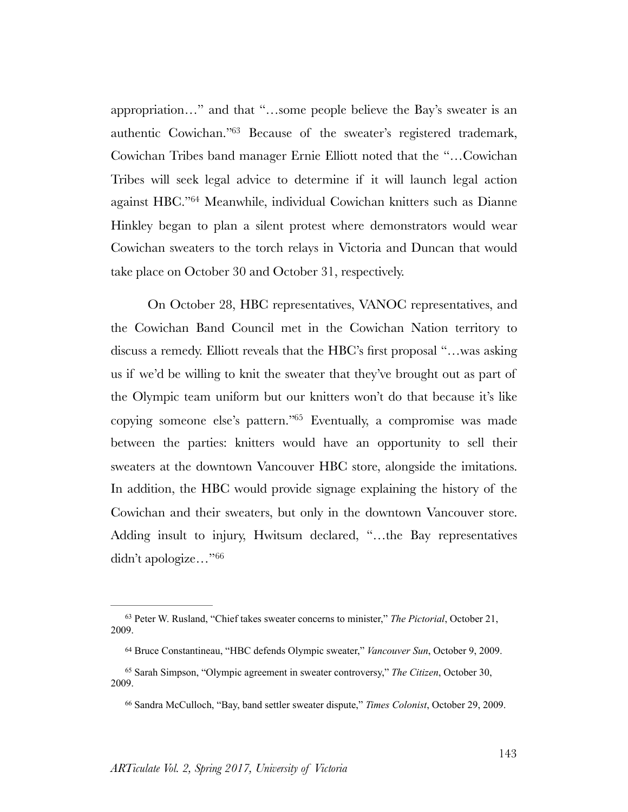<span id="page-23-5"></span><span id="page-23-4"></span>appropriation…" and that "…some people believe the Bay's sweater is an authentic Cowichan.["](#page-23-0)<sup>[63](#page-23-0)</sup> Because of the sweater's registered trademark, Cowichan Tribes band manager Ernie Elliott noted that the "…Cowichan Tribes will seek legal advice to determine if it will launch legal action against HBC."<sup>[64](#page-23-1)</sup> Meanwhile, individual Cowichan knitters such as Dianne Hinkley began to plan a silent protest where demonstrators would wear Cowichan sweaters to the torch relays in Victoria and Duncan that would take place on October 30 and October 31, respectively.

<span id="page-23-6"></span>On October 28, HBC representatives, VANOC representatives, and the Cowichan Band Council met in the Cowichan Nation territory to discuss a remedy. Elliott reveals that the HBC's first proposal "…was asking us if we'd be willing to knit the sweater that they've brought out as part of the Olympic team uniform but our knitters won't do that because it's like copying someone else's pattern.["](#page-23-2) $65$  Eventually, a compromise was made between the parties: knitters would have an opportunity to sell their sweaters at the downtown Vancouver HBC store, alongside the imitations. In addition, the HBC would provide signage explaining the history of the Cowichan and their sweaters, but only in the downtown Vancouver store. Adding insult to injury, Hwitsum declared, "…the Bay representatives didn't apologize…"[66](#page-23-3)

<span id="page-23-7"></span><span id="page-23-0"></span><sup>&</sup>lt;sup>[63](#page-23-4)</sup> Peter W. Rusland, "Chief takes sweater concerns to minister," *The Pictorial*, October 21, 2009.

<span id="page-23-1"></span><sup>&</sup>lt;sup>[64](#page-23-5)</sup> Bruce Constantineau, "HBC defends Olympic sweater," *Vancouver Sun*, October 9, 2009.

<span id="page-23-2"></span>Sarah Simpson, "Olympic agreement in sweater controversy," *The Citizen*, October 30, [65](#page-23-6) 2009.

<span id="page-23-3"></span><sup>&</sup>lt;sup>[66](#page-23-7)</sup> Sandra McCulloch, "Bay, band settler sweater dispute," *Times Colonist*, October 29, 2009.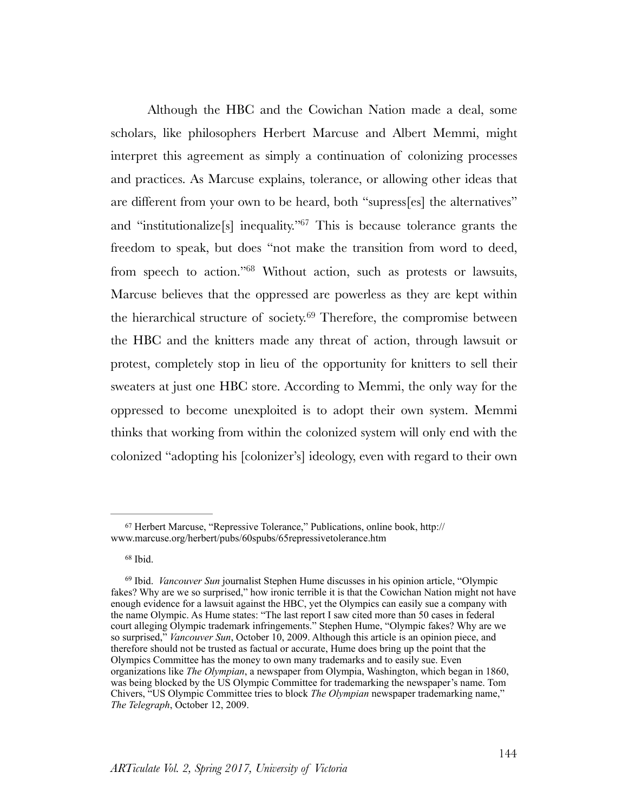<span id="page-24-5"></span><span id="page-24-4"></span><span id="page-24-3"></span>Although the HBC and the Cowichan Nation made a deal, some scholars, like philosophers Herbert Marcuse and Albert Memmi, might interpret this agreement as simply a continuation of colonizing processes and practices. As Marcuse explains, tolerance, or allowing other ideas that are different from your own to be heard, both "supress[es] the alternatives" and ["](#page-24-0)institutionalize<sup>[s]</sup> inequality."<sup> $67$ </sup> This is because tolerance grants the freedom to speak, but does "not make the transition from word to deed, from speech to action.["](#page-24-1)<sup>[68](#page-24-1)</sup> Without action, such as protests or lawsuits, Marcuse believes that the oppressed are powerless as they are kept within the hierarchical structure of society. $69$  Therefore, the compromise between the HBC and the knitters made any threat of action, through lawsuit or protest, completely stop in lieu of the opportunity for knitters to sell their sweaters at just one HBC store. According to Memmi, the only way for the oppressed to become unexploited is to adopt their own system. Memmi thinks that working from within the colonized system will only end with the colonized "adopting his [colonizer's] ideology, even with regard to their own

<span id="page-24-0"></span><sup>&</sup>lt;sup>[67](#page-24-3)</sup> Herbert Marcuse, "Repressive Tolerance," Publications, online book, http:// www.marcuse.org/herbert/pubs/60spubs/65repressivetolerance.htm

<span id="page-24-1"></span><sup>&</sup>lt;sup>[68](#page-24-4)</sup> Ibid.

<span id="page-24-2"></span><sup>&</sup>lt;sup>[69](#page-24-5)</sup> Ibid. *Vancouver Sun* journalist Stephen Hume discusses in his opinion article, "Olympic fakes? Why are we so surprised," how ironic terrible it is that the Cowichan Nation might not have enough evidence for a lawsuit against the HBC, yet the Olympics can easily sue a company with the name Olympic. As Hume states: "The last report I saw cited more than 50 cases in federal court alleging Olympic trademark infringements." Stephen Hume, "Olympic fakes? Why are we so surprised," *Vancouver Sun*, October 10, 2009. Although this article is an opinion piece, and therefore should not be trusted as factual or accurate, Hume does bring up the point that the Olympics Committee has the money to own many trademarks and to easily sue. Even organizations like *The Olympian*, a newspaper from Olympia, Washington, which began in 1860, was being blocked by the US Olympic Committee for trademarking the newspaper's name. Tom Chivers, "US Olympic Committee tries to block *The Olympian* newspaper trademarking name," *The Telegraph*, October 12, 2009.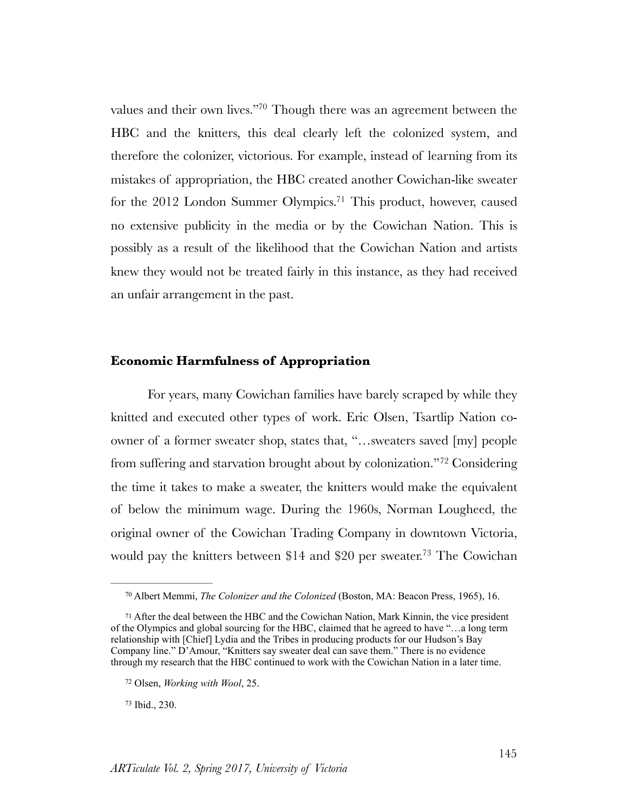<span id="page-25-5"></span><span id="page-25-4"></span>values and their own lives.["](#page-25-0)<sup>[70](#page-25-0)</sup> Though there was an agreement between the HBC and the knitters, this deal clearly left the colonized system, and therefore the colonizer, victorious. For example, instead of learning from its mistakes of appropriation, the HBC created another Cowichan-like sweater for the 2012 London Summer Olympics[.](#page-25-1)<sup>[71](#page-25-1)</sup> This product, however, caused no extensive publicity in the media or by the Cowichan Nation. This is possibly as a result of the likelihood that the Cowichan Nation and artists knew they would not be treated fairly in this instance, as they had received an unfair arrangement in the past.

### **Economic Harmfulness of Appropriation**

<span id="page-25-6"></span>For years, many Cowichan families have barely scraped by while they knitted and executed other types of work. Eric Olsen, Tsartlip Nation coowner of a former sweater shop, states that, "…sweaters saved [my] people from suffering and starvation brought about by colonization.["](#page-25-2)<sup>[72](#page-25-2)</sup> Considering the time it takes to make a sweater, the knitters would make the equivalent of below the minimum wage. During the 1960s, Norman Lougheed, the original owner of the Cowichan Trading Company in downtown Victoria, would pay the knitters between \$14 and \$20 per sweater[.](#page-25-3)<sup>[73](#page-25-3)</sup> The Cowichan

<span id="page-25-3"></span>[73](#page-25-7) Ibid., 230.

<span id="page-25-7"></span><span id="page-25-0"></span><sup>&</sup>lt;sup>[70](#page-25-4)</sup> Albert Memmi, *The Colonizer and the Colonized* (Boston, MA: Beacon Press, 1965), 16.

<span id="page-25-1"></span> $71$ After the deal between the HBC and the Cowichan Nation, Mark Kinnin, the vice president of the Olympics and global sourcing for the HBC, claimed that he agreed to have "…a long term relationship with [Chief] Lydia and the Tribes in producing products for our Hudson's Bay Company line." D'Amour, "Knitters say sweater deal can save them." There is no evidence through my research that the HBC continued to work with the Cowichan Nation in a later time.

<span id="page-25-2"></span><sup>&</sup>lt;sup>[72](#page-25-6)</sup> Olsen, *Working with Wool*, 25.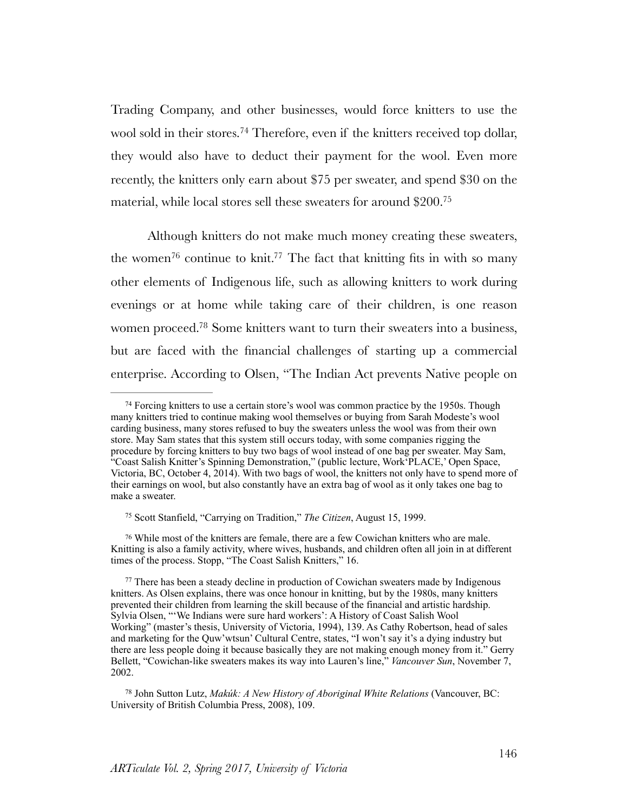<span id="page-26-5"></span>Trading Company, and other businesses, would force knitters to use the wool sold in their stores.<sup>[74](#page-26-0)</sup> Therefore, even if the knitters received top dollar, they would also have to deduct their payment for the wool. Even more recently, the knitters only earn about \$75 per sweater, and spend \$30 on the material, while local stores sell these sweaters for around \$200[.75](#page-26-1)

<span id="page-26-8"></span><span id="page-26-7"></span><span id="page-26-6"></span>Although knitters do not make much money creating these sweaters, the women<sup>76</sup> continue to knit[.](#page-26-3)<sup>77</sup> The fact that knitting fits in with so many other elements of Indigenous life, such as allowing knitters to work during evenings or at home while taking care of their children, is one reason women proceed[.](#page-26-4)<sup>[78](#page-26-4)</sup> Some knitters want to turn their sweaters into a business, but are faced with the financial challenges of starting up a commercial enterprise. According to Olsen, "The Indian Act prevents Native people on

<span id="page-26-9"></span><span id="page-26-0"></span><sup>&</sup>lt;sup>74</sup>Forcing knitters to use a certain store's wool was common practice by the 1950s. Though many knitters tried to continue making wool themselves or buying from Sarah Modeste's wool carding business, many stores refused to buy the sweaters unless the wool was from their own store. May Sam states that this system still occurs today, with some companies rigging the procedure by forcing knitters to buy two bags of wool instead of one bag per sweater. May Sam, "Coast Salish Knitter's Spinning Demonstration," (public lecture, Work'PLACE,' Open Space, Victoria, BC, October 4, 2014). With two bags of wool, the knitters not only have to spend more of their earnings on wool, but also constantly have an extra bag of wool as it only takes one bag to make a sweater.

<span id="page-26-1"></span><sup>&</sup>lt;sup>[75](#page-26-6)</sup> Scott Stanfield, "Carrying on Tradition," *The Citizen*, August 15, 1999.

<span id="page-26-2"></span>While most of the knitters are female, there are a few Cowichan knitters who are male. [76](#page-26-7) Knitting is also a family activity, where wives, husbands, and children often all join in at different times of the process. Stopp, "The Coast Salish Knitters," 16.

<span id="page-26-3"></span> $77$ There has been a steady decline in production of Cowichan sweaters made by Indigenous knitters. As Olsen explains, there was once honour in knitting, but by the 1980s, many knitters prevented their children from learning the skill because of the financial and artistic hardship. Sylvia Olsen, "'We Indians were sure hard workers': A History of Coast Salish Wool Working" (master's thesis, University of Victoria, 1994), 139. As Cathy Robertson, head of sales and marketing for the Quw'wtsun' Cultural Centre, states, "I won't say it's a dying industry but there are less people doing it because basically they are not making enough money from it." Gerry Bellett, "Cowichan-like sweaters makes its way into Lauren's line," *Vancouver Sun*, November 7, 2002.

<span id="page-26-4"></span><sup>&</sup>lt;sup>[78](#page-26-9)</sup> John Sutton Lutz, *Makúk: A New History of Aboriginal White Relations* (Vancouver, BC: University of British Columbia Press, 2008), 109.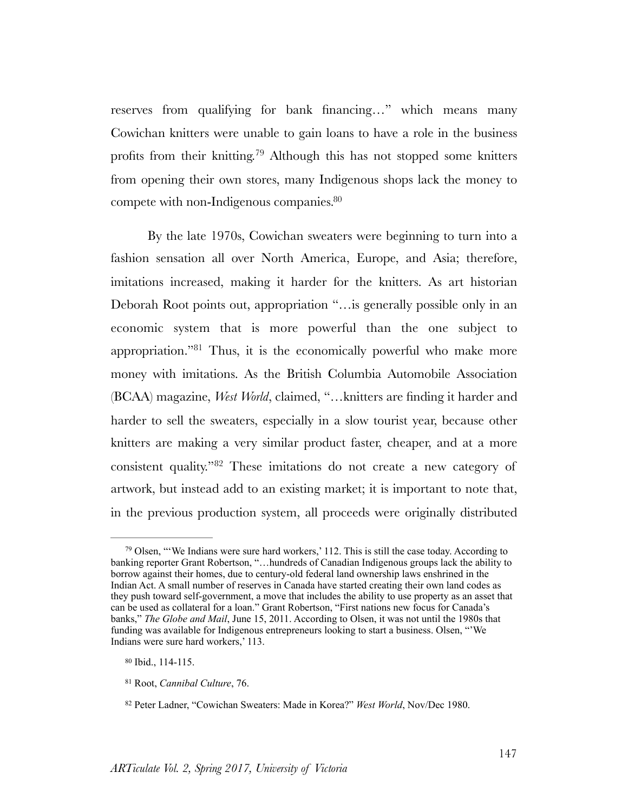<span id="page-27-4"></span>reserves from qualifying for bank financing…" which means many Cowichan knitters were unable to gain loans to have a role in the business profits from their knitting.<sup>[79](#page-27-0)</sup> Although this has not stopped some knitters from opening their own stores, many Indigenous shops lack the money to compete with non-Indigenous companies[.](#page-27-1) [80](#page-27-1)

<span id="page-27-6"></span><span id="page-27-5"></span>By the late 1970s, Cowichan sweaters were beginning to turn into a fashion sensation all over North America, Europe, and Asia; therefore, imitations increased, making it harder for the knitters. As art historian Deborah Root points out, appropriation "…is generally possible only in an economic system that is more powerful than the one subject to appropriation.["](#page-27-2)<sup>[81](#page-27-2)</sup> Thus, it is the economically powerful who make more money with imitations. As the British Columbia Automobile Association (BCAA) magazine, *West World*, claimed, "…knitters are finding it harder and harder to sell the sweaters, especially in a slow tourist year, because other knitters are making a very similar product faster, cheaper, and at a more consistent quality." $82$  These imitations do not create a new category of artwork, but instead add to an existing market; it is important to note that, in the previous production system, all proceeds were originally distributed

<span id="page-27-7"></span><span id="page-27-0"></span> $\frac{79}{9}$  $\frac{79}{9}$  $\frac{79}{9}$ Olsen, "'We Indians were sure hard workers,' 112. This is still the case today. According to banking reporter Grant Robertson, "…hundreds of Canadian Indigenous groups lack the ability to borrow against their homes, due to century-old federal land ownership laws enshrined in the Indian Act. A small number of reserves in Canada have started creating their own land codes as they push toward self-government, a move that includes the ability to use property as an asset that can be used as collateral for a loan." Grant Robertson, "First nations new focus for Canada's banks," *The Globe and Mail*, June 15, 2011. According to Olsen, it was not until the 1980s that funding was available for Indigenous entrepreneurs looking to start a business. Olsen, "'We Indians were sure hard workers,' 113.

<span id="page-27-1"></span> $80$  Ibid.,  $114-115$ .

<span id="page-27-2"></span><sup>&</sup>lt;sup>[81](#page-27-6)</sup> Root, *Cannibal Culture*, 76.

<span id="page-27-3"></span><sup>&</sup>lt;sup>[82](#page-27-7)</sup> Peter Ladner, "Cowichan Sweaters: Made in Korea?" *West World*, Nov/Dec 1980.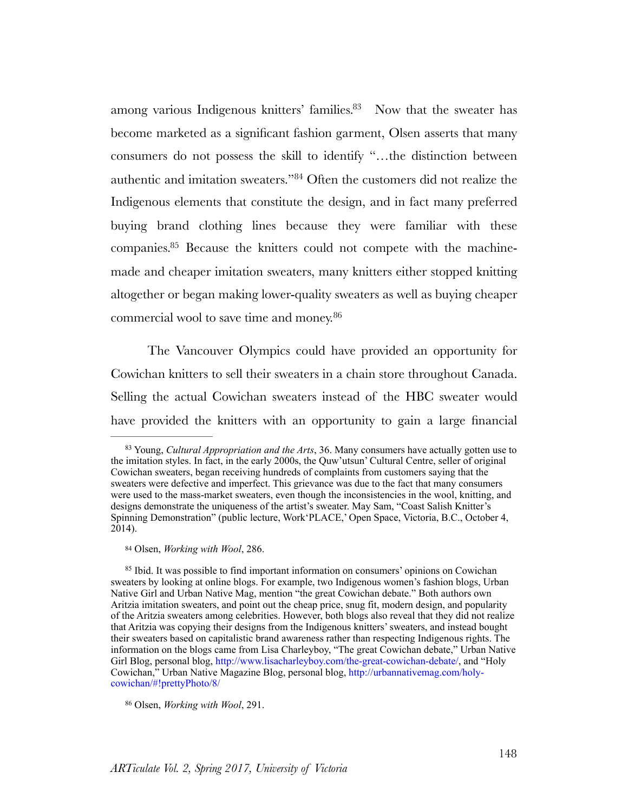<span id="page-28-5"></span><span id="page-28-4"></span>among various Indigenous knitters' families[.](#page-28-0)<sup>[83](#page-28-0)</sup> Now that the sweater has become marketed as a significant fashion garment, Olsen asserts that many consumers do not possess the skill to identify "…the distinction between authentic and imitation sweaters." <sup>[84](#page-28-1)</sup> Often the customers did not realize the Indigenous elements that constitute the design, and in fact many preferred buying brand clothing lines because they were familiar with these companies[.](#page-28-2)<sup>85</sup> Because the knitters could not compete with the machinemade and cheaper imitation sweaters, many knitters either stopped knitting altogether or began making lower-quality sweaters as well as buying cheaper commercial wool to save time and money. [86](#page-28-3)

<span id="page-28-7"></span><span id="page-28-6"></span>The Vancouver Olympics could have provided an opportunity for Cowichan knitters to sell their sweaters in a chain store throughout Canada. Selling the actual Cowichan sweaters instead of the HBC sweater would have provided the knitters with an opportunity to gain a large financial

<span id="page-28-0"></span><sup>&</sup>lt;sup>[83](#page-28-4)</sup> Young, *Cultural Appropriation and the Arts*, 36. Many consumers have actually gotten use to the imitation styles. In fact, in the early 2000s, the Quw'utsun' Cultural Centre, seller of original Cowichan sweaters, began receiving hundreds of complaints from customers saying that the sweaters were defective and imperfect. This grievance was due to the fact that many consumers were used to the mass-market sweaters, even though the inconsistencies in the wool, knitting, and designs demonstrate the uniqueness of the artist's sweater. May Sam, "Coast Salish Knitter's Spinning Demonstration" (public lecture, Work'PLACE,' Open Space, Victoria, B.C., October 4, 2014).

<span id="page-28-1"></span><sup>&</sup>lt;sup>[84](#page-28-5)</sup> Olsen, *Working with Wool*, 286.

<span id="page-28-2"></span><sup>&</sup>lt;sup>85</sup>Ibid. It was possible to find important information on consumers' opinions on Cowichan sweaters by looking at online blogs. For example, two Indigenous women's fashion blogs, Urban Native Girl and Urban Native Mag, mention "the great Cowichan debate." Both authors own Aritzia imitation sweaters, and point out the cheap price, snug fit, modern design, and popularity of the Aritzia sweaters among celebrities. However, both blogs also reveal that they did not realize that Aritzia was copying their designs from the Indigenous knitters' sweaters, and instead bought their sweaters based on capitalistic brand awareness rather than respecting Indigenous rights. The information on the blogs came from Lisa Charleyboy, "The great Cowichan debate," Urban Native Girl Blog, personal blog,<http://www.lisacharleyboy.com/the-great-cowichan-debate/>, and "Holy" Cowichan," Urban Native Magazine Blog, personal blog, [http://urbannativemag.com/holy](http://urbannativemag.com/holy-cowichan/#!prettyPhoto/8/)[cowichan/#!prettyPhoto/8/](http://urbannativemag.com/holy-cowichan/#!prettyPhoto/8/)

<span id="page-28-3"></span><sup>&</sup>lt;sup>[86](#page-28-7)</sup> Olsen, *Working with Wool*, 291.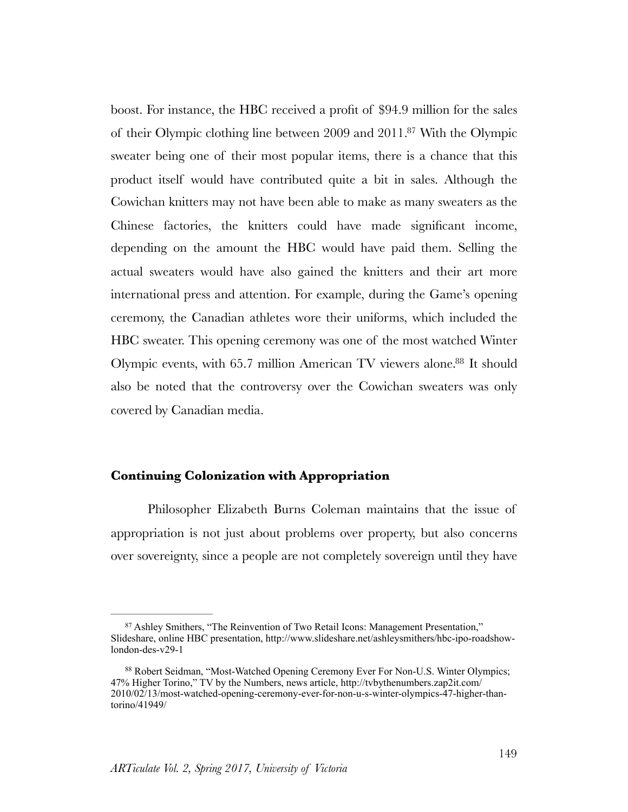<span id="page-29-2"></span>boost. For instance, the HBC received a profit of \$94.9 million for the sales of their Olympic clothing line between 2009 and 2011[.](#page-29-0)<sup>[87](#page-29-0)</sup> With the Olympic sweater being one of their most popular items, there is a chance that this product itself would have contributed quite a bit in sales. Although the Cowichan knitters may not have been able to make as many sweaters as the Chinese factories, the knitters could have made significant income, depending on the amount the HBC would have paid them. Selling the actual sweaters would have also gained the knitters and their art more international press and attention. For example, during the Game's opening ceremony, the Canadian athletes wore their uniforms, which included the HBC sweater. This opening ceremony was one of the most watched Winter Olympic events, with 65[.](#page-29-1)7 million American TV viewers alone.<sup>[88](#page-29-1)</sup> It should also be noted that the controversy over the Cowichan sweaters was only covered by Canadian media.

#### <span id="page-29-3"></span>**Continuing Colonization with Appropriation**

Philosopher Elizabeth Burns Coleman maintains that the issue of appropriation is not just about problems over property, but also concerns over sovereignty, since a people are not completely sovereign until they have

<span id="page-29-0"></span><sup>&</sup>lt;sup>87</sup>Ashley Smithers, "The Reinvention of Two Retail Icons: Management Presentation," Slideshare, online HBC presentation, http://www.slideshare.net/ashleysmithers/hbc-ipo-roadshowlondon-des-v29-1

<span id="page-29-1"></span><sup>88</sup>Robert Seidman, "Most-Watched Opening Ceremony Ever For Non-U.S. Winter Olympics; 47% Higher Torino," TV by the Numbers, news article, http://tvbythenumbers.zap2it.com/ 2010/02/13/most-watched-opening-ceremony-ever-for-non-u-s-winter-olympics-47-higher-thantorino/41949/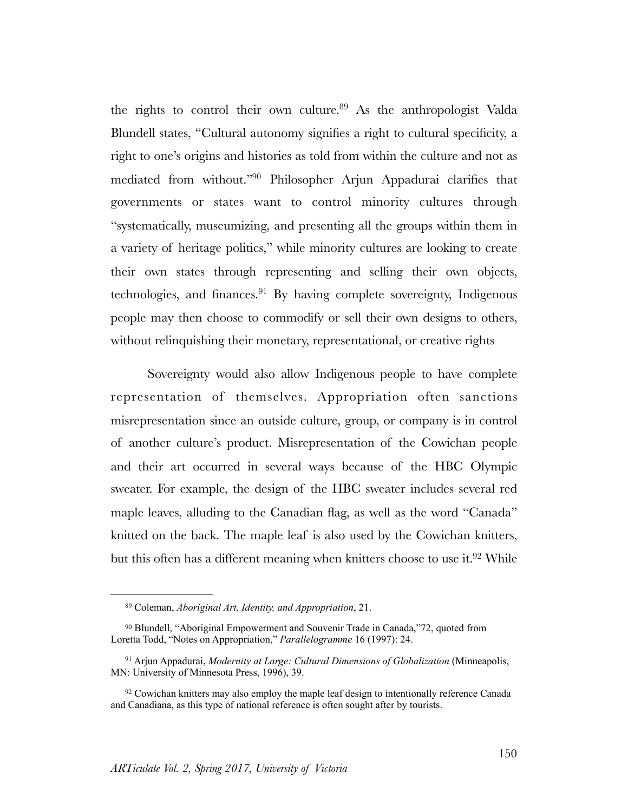<span id="page-30-5"></span><span id="page-30-4"></span>the rights to control their own culture[.](#page-30-0)  $89$  As the anthropologist Valda Blundell states, "Cultural autonomy signifies a right to cultural specificity, a right to one's origins and histories as told from within the culture and not as mediated from without.["](#page-30-1)<sup>[90](#page-30-1)</sup> Philosopher Arjun Appadurai clarifies that governments or states want to control minority cultures through "systematically, museumizing, and presenting all the groups within them in a variety of heritage politics," while minority cultures are looking to create their own states through representing and selling their own objects, technologies, and finances[.](#page-30-2) $91$  By having complete sovereignty, Indigenous people may then choose to commodify or sell their own designs to others, without relinquishing their monetary, representational, or creative rights

<span id="page-30-6"></span>Sovereignty would also allow Indigenous people to have complete representation of themselves. Appropriation often sanctions misrepresentation since an outside culture, group, or company is in control of another culture's product. Misrepresentation of the Cowichan people and their art occurred in several ways because of the HBC Olympic sweater. For example, the design of the HBC sweater includes several red maple leaves, alluding to the Canadian flag, as well as the word "Canada" knitted on the back. The maple leaf is also used by the Cowichan knitters, but this often has a different meaning when knitters choose to use it.<sup>[92](#page-30-3)</sup> While

<span id="page-30-7"></span><span id="page-30-0"></span><sup>&</sup>lt;sup>[89](#page-30-4)</sup> Coleman, *Aboriginal Art, Identity, and Appropriation*, 21.

<span id="page-30-1"></span><sup>&</sup>lt;sup>90</sup>Blundell, "Aboriginal Empowerment and Souvenir Trade in Canada,"72, quoted from Loretta Todd, "Notes on Appropriation," *Parallelogramme* 16 (1997): 24.

<span id="page-30-2"></span><sup>&</sup>lt;sup>[91](#page-30-6)</sup> Arjun Appadurai, *Modernity at Large: Cultural Dimensions of Globalization* (Minneapolis, MN: University of Minnesota Press, 1996), 39.

<span id="page-30-3"></span><sup>&</sup>lt;sup>92</sup>Cowichan knitters may also employ the maple leaf design to intentionally reference Canada and Canadiana, as this type of national reference is often sought after by tourists.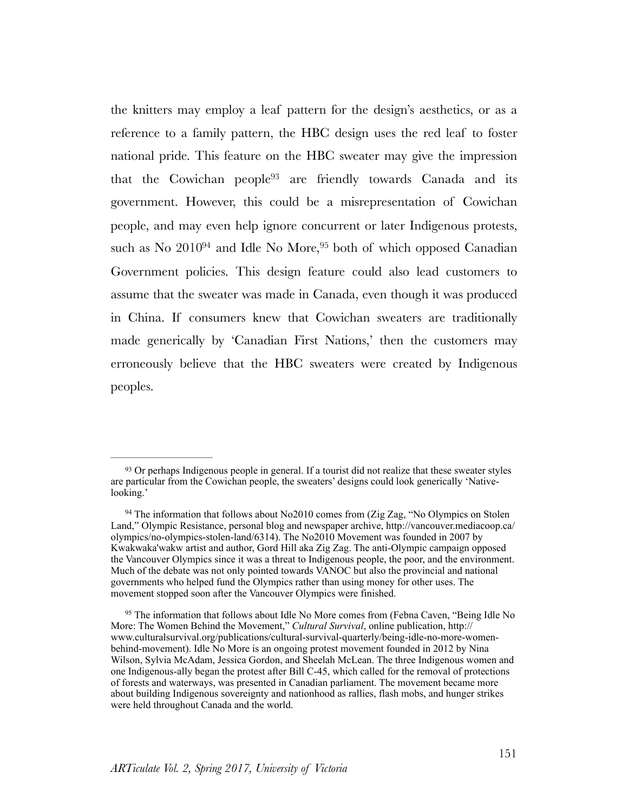<span id="page-31-5"></span><span id="page-31-4"></span><span id="page-31-3"></span>the knitters may employ a leaf pattern for the design's aesthetics, or as a reference to a family pattern, the HBC design uses the red leaf to foster national pride. This feature on the HBC sweater may give the impression that th[e](#page-31-0) Cowichan people<sup>[93](#page-31-0)</sup> are friendly towards Canada and its government. However, this could be a misrepresentation of Cowichan people, and may even help ignore concurrent or later Indigenous protests, such as No  $2010^{94}$  $2010^{94}$  $2010^{94}$  $2010^{94}$  $2010^{94}$  and Idle No More,  $95$  both of which opposed Canadian Government policies. This design feature could also lead customers to assume that the sweater was made in Canada, even though it was produced in China. If consumers knew that Cowichan sweaters are traditionally made generically by 'Canadian First Nations,' then the customers may erroneously believe that the HBC sweaters were created by Indigenous peoples.

<span id="page-31-0"></span><sup>&</sup>lt;sup>93</sup>Or perhaps Indigenous people in general. If a tourist did not realize that these sweater styles are particular from the Cowichan people, the sweaters' designs could look generically 'Nativelooking.'

<span id="page-31-1"></span><sup>&</sup>lt;sup>94</sup>The information that follows about No2010 comes from (Zig Zag, "No Olympics on Stolen Land," Olympic Resistance, personal blog and newspaper archive, [http://vancouver.mediacoop.ca/](http://vancouver.mediacoop.ca/olympics/no-olympics-stolen-land/6314) [olympics/no-olympics-stolen-land/6314](http://vancouver.mediacoop.ca/olympics/no-olympics-stolen-land/6314)). The No2010 Movement was founded in 2007 by Kwakwaka'wakw artist and author, Gord Hill aka Zig Zag. The anti-Olympic campaign opposed the Vancouver Olympics since it was a threat to Indigenous people, the poor, and the environment. Much of the debate was not only pointed towards VANOC but also the provincial and national governments who helped fund the Olympics rather than using money for other uses. The movement stopped soon after the Vancouver Olympics were finished.

<span id="page-31-2"></span><sup>&</sup>lt;sup>95</sup>The information that follows about Idle No More comes from (Febna Caven, "Being Idle No More: The Women Behind the Movement," *Cultural Survival*, online publication, [http://](http://www.culturalsurvival.org/publications/cultural-survival-quarterly/being-idle-no-more-women-behind-movement) [www.culturalsurvival.org/publications/cultural-survival-quarterly/being-idle-no-more-women](http://www.culturalsurvival.org/publications/cultural-survival-quarterly/being-idle-no-more-women-behind-movement)[behind-movement](http://www.culturalsurvival.org/publications/cultural-survival-quarterly/being-idle-no-more-women-behind-movement)). Idle No More is an ongoing protest movement founded in 2012 by Nina Wilson, Sylvia McAdam, Jessica Gordon, and Sheelah McLean. The three Indigenous women and one Indigenous-ally began the protest after Bill C-45, which called for the removal of protections of forests and waterways, was presented in Canadian parliament. The movement became more about building Indigenous sovereignty and nationhood as rallies, flash mobs, and hunger strikes were held throughout Canada and the world.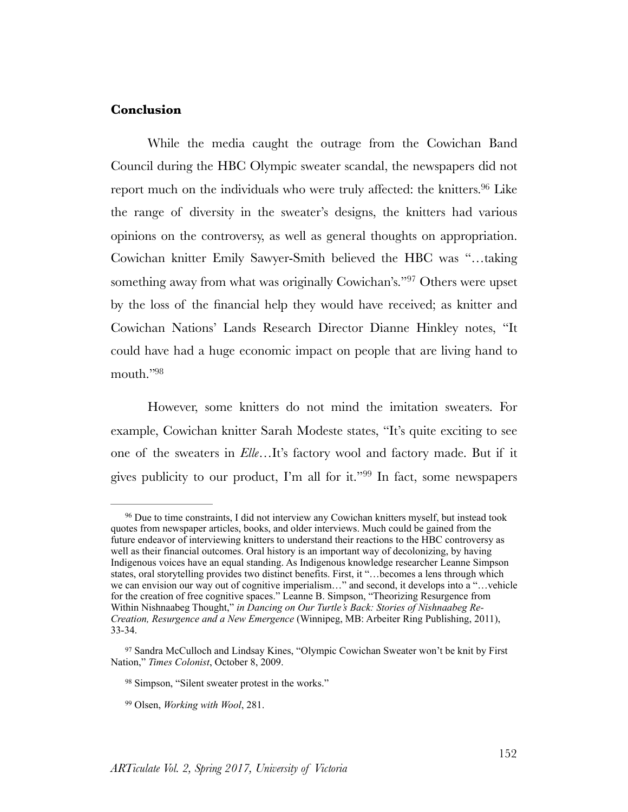## **Conclusion**

<span id="page-32-4"></span>While the media caught the outrage from the Cowichan Band Council during the HBC Olympic sweater scandal, the newspapers did not report much on the individuals who were truly affected: the knitters.<sup>[96](#page-32-0)</sup> Like the range of diversity in the sweater's designs, the knitters had various opinions on the controversy, as well as general thoughts on appropriation. Cowichan knitter Emily Sawyer-Smith believed the HBC was "…taking something away from what was originally Cowichan's.["](#page-32-1)<sup>[97](#page-32-1)</sup> Others were upset by the loss of the financial help they would have received; as knitter and Cowichan Nations' Lands Research Director Dianne Hinkley notes, "It could have had a huge economic impact on people that are living hand to mouth.["98](#page-32-2)

<span id="page-32-6"></span><span id="page-32-5"></span>However, some knitters do not mind the imitation sweaters. For example, Cowichan knitter Sarah Modeste states, "It's quite exciting to see one of the sweaters in *Elle*…It's factory wool and factory made. But if it gives publicity to our product, I'm all for it." $99$  In fact, some newspapers

<span id="page-32-7"></span><span id="page-32-0"></span><sup>&</sup>lt;sup>96</sup>Due to time constraints, I did not interview any Cowichan knitters myself, but instead took quotes from newspaper articles, books, and older interviews. Much could be gained from the future endeavor of interviewing knitters to understand their reactions to the HBC controversy as well as their financial outcomes. Oral history is an important way of decolonizing, by having Indigenous voices have an equal standing. As Indigenous knowledge researcher Leanne Simpson states, oral storytelling provides two distinct benefits. First, it "...becomes a lens through which we can envision our way out of cognitive imperialism…" and second, it develops into a "…vehicle for the creation of free cognitive spaces." Leanne B. Simpson, "Theorizing Resurgence from Within Nishnaabeg Thought," *in Dancing on Our Turtle's Back: Stories of Nishnaabeg Re-Creation, Resurgence and a New Emergence* (Winnipeg, MB: Arbeiter Ring Publishing, 2011), 33-34.

<span id="page-32-1"></span><sup>97</sup>Sandra McCulloch and Lindsay Kines, "Olympic Cowichan Sweater won't be knit by First Nation," *Times Colonist*, October 8, 2009.

<span id="page-32-2"></span><sup>&</sup>lt;sup>[98](#page-32-6)</sup> Simpson, "Silent sweater protest in the works."

<span id="page-32-3"></span><sup>&</sup>lt;sup>[99](#page-32-7)</sup> Olsen, *Working with Wool*, 281.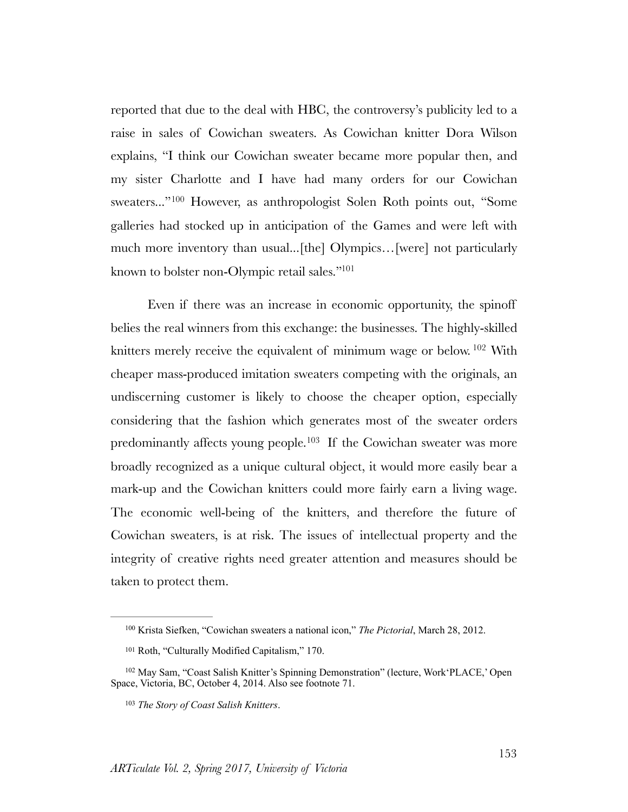<span id="page-33-4"></span>reported that due to the deal with HBC, the controversy's publicity led to a raise in sales of Cowichan sweaters. As Cowichan knitter Dora Wilson explains, "I think our Cowichan sweater became more popular then, and my sister Charlotte and I have had many orders for our Cowichan sweaters..."<sup>100</sup>However, as anthropologist Solen Roth points out, "Some galleries had stocked up in anticipation of the Games and were left with much more inventory than usual...[the] Olympics…[were] not particularly known to bolster non-Olympic retail sales.["101](#page-33-1)

<span id="page-33-7"></span><span id="page-33-6"></span><span id="page-33-5"></span>Even if there was an increase in economic opportunity, the spinoff belies the real winners from this exchange: the businesses. The highly-skilled knitters merely receive the equivalent of minimum wage or below.  $102$  With cheaper mass-produced imitation sweaters competing with the originals, an undiscerning customer is likely to choose the cheaper option, especially considering that the fashion which generates most of the sweater orders predominantly affects young people.<sup>[103](#page-33-3)</sup> If the Cowichan sweater was more broadly recognized as a unique cultural object, it would more easily bear a mark-up and the Cowichan knitters could more fairly earn a living wage. The economic well-being of the knitters, and therefore the future of Cowichan sweaters, is at risk. The issues of intellectual property and the integrity of creative rights need greater attention and measures should be taken to protect them.

<span id="page-33-0"></span><sup>&</sup>lt;sup>[100](#page-33-4)</sup> Krista Siefken, "Cowichan sweaters a national icon," *The Pictorial*, March 28, 2012.

<span id="page-33-1"></span><sup>&</sup>lt;sup>[101](#page-33-5)</sup> Roth, "Culturally Modified Capitalism," 170.

<span id="page-33-2"></span><sup>&</sup>lt;sup>[102](#page-33-6)</sup> May Sam, "Coast Salish Knitter's Spinning Demonstration" (lecture, Work'PLACE,' Open Space, Victoria, BC, October 4, 2014. Also see footnote 71.

<span id="page-33-3"></span><sup>&</sup>lt;sup>[103](#page-33-7)</sup> The Story of Coast Salish Knitters.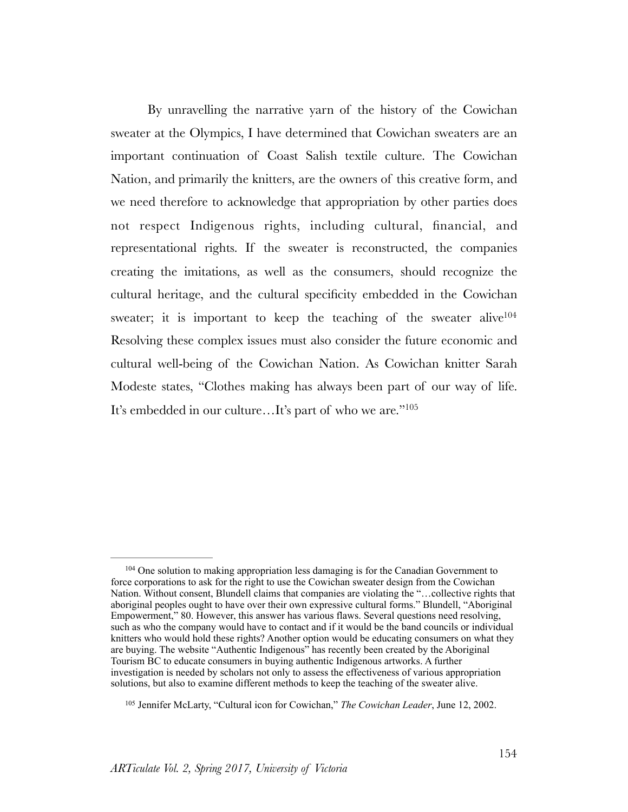<span id="page-34-2"></span>By unravelling the narrative yarn of the history of the Cowichan sweater at the Olympics, I have determined that Cowichan sweaters are an important continuation of Coast Salish textile culture. The Cowichan Nation, and primarily the knitters, are the owners of this creative form, and we need therefore to acknowledge that appropriation by other parties does not respect Indigenous rights, including cultural, financial, and representational rights. If the sweater is reconstructed, the companies creating the imitations, as well as the consumers, should recognize the cultural heritage, and the cultural specificity embedded in the Cowichan sweater; it is important to keep the teaching of the sweater alive<sup>104</sup> Resolving these complex issues must also consider the future economic and cultural well-being of the Cowichan Nation. As Cowichan knitter Sarah Modeste states, "Clothes making has always been part of our way of life. It's embedded in our culture…It's part of who we are.["105](#page-34-1)

<span id="page-34-3"></span><span id="page-34-0"></span> $104$  One solution to making appropriation less damaging is for the Canadian Government to force corporations to ask for the right to use the Cowichan sweater design from the Cowichan Nation. Without consent, Blundell claims that companies are violating the "…collective rights that aboriginal peoples ought to have over their own expressive cultural forms." Blundell, "Aboriginal Empowerment," 80. However, this answer has various flaws. Several questions need resolving, such as who the company would have to contact and if it would be the band councils or individual knitters who would hold these rights? Another option would be educating consumers on what they are buying. The website "Authentic Indigenous" has recently been created by the Aboriginal Tourism BC to educate consumers in buying authentic Indigenous artworks. A further investigation is needed by scholars not only to assess the effectiveness of various appropriation solutions, but also to examine different methods to keep the teaching of the sweater alive.

<span id="page-34-1"></span><sup>&</sup>lt;sup>[105](#page-34-3)</sup> Jennifer McLarty, "Cultural icon for Cowichan," *The Cowichan Leader*, June 12, 2002.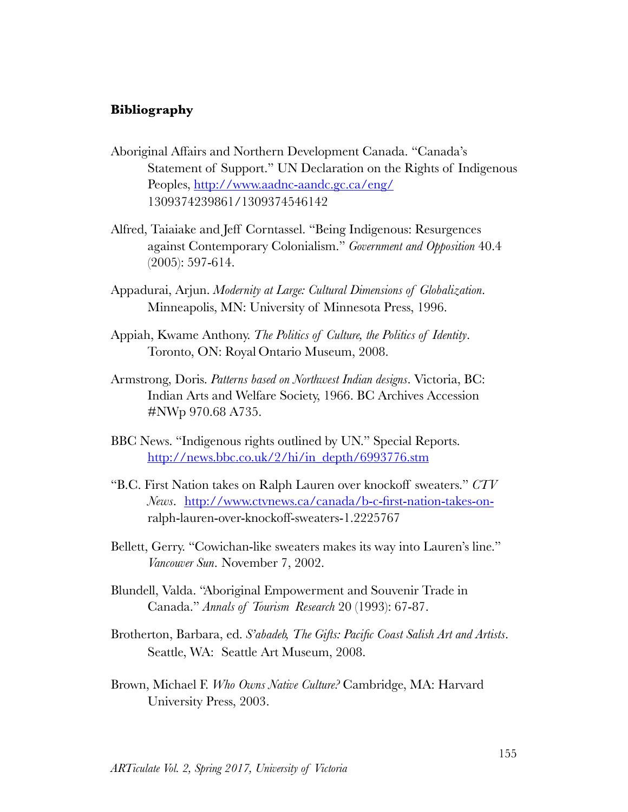#### **Bibliography**

- Aboriginal Affairs and Northern Development Canada. "Canada's Statement of Support." UN Declaration on the Rights of Indigenous Peoples,<http://www.aadnc-aandc.gc.ca/eng/> 1309374239861/1309374546142
- Alfred, Taiaiake and Jeff Corntassel. "Being Indigenous: Resurgences against Contemporary Colonialism." *Government and Opposition* 40.4 (2005): 597-614.
- Appadurai, Arjun. *Modernity at Large: Cultural Dimensions of Globalization*. Minneapolis, MN: University of Minnesota Press, 1996.
- Appiah, Kwame Anthony. *The Politics of Culture, the Politics of Identity*. Toronto, ON: Royal Ontario Museum, 2008.
- Armstrong, Doris. *Patterns based on Northwest Indian designs*. Victoria, BC: Indian Arts and Welfare Society, 1966. BC Archives Accession #NWp 970.68 A735.
- BBC News. "Indigenous rights outlined by UN." Special Reports. [http://news.bbc.co.uk/2/hi/in\\_depth/6993776.stm](http://news.bbc.co.uk/2/hi/in_depth/6993776.stm)
- "B.C. First Nation takes on Ralph Lauren over knockoff sweaters." *CTV News*. [http://www.ctvnews.ca/canada/b-c-first-nation-takes-on](http://www.ctvnews.ca/canada/b-c-first-nation-takes-on-)ralph-lauren-over-knockoff-sweaters-1.2225767
- Bellett, Gerry. "Cowichan-like sweaters makes its way into Lauren's line." *Vancouver Sun*. November 7, 2002.
- Blundell, Valda. "Aboriginal Empowerment and Souvenir Trade in Canada." *Annals of Tourism Research* 20 (1993): 67-87.
- Brotherton, Barbara, ed. *S'abadeb, The Gifts: Pacific Coast Salish Art and Artists*. Seattle, WA: Seattle Art Museum, 2008.
- Brown, Michael F. *Who Owns Native Culture?* Cambridge, MA: Harvard University Press, 2003.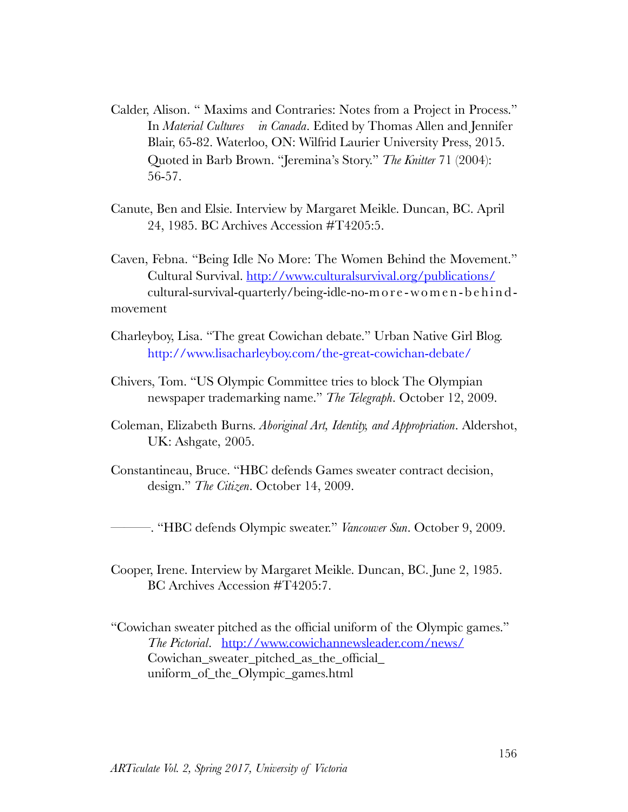- Calder, Alison. " Maxims and Contraries: Notes from a Project in Process." In *Material Cultures in Canada*. Edited by Thomas Allen and Jennifer Blair, 65-82. Waterloo, ON: Wilfrid Laurier University Press, 2015. Quoted in Barb Brown. "Jeremina's Story." *The Knitter* 71 (2004): 56-57.
- Canute, Ben and Elsie. Interview by Margaret Meikle. Duncan, BC. April 24, 1985. BC Archives Accession #T4205:5.

Caven, Febna. "Being Idle No More: The Women Behind the Movement." Cultural Survival.<http://www.culturalsurvival.org/publications/> cultural-survival-quarterly/being-idle-no-m o r e - w o m e n - b e h i n d movement

- Charleyboy, Lisa. "The great Cowichan debate." Urban Native Girl Blog. <http://www.lisacharleyboy.com/the-great-cowichan-debate/>
- Chivers, Tom. "US Olympic Committee tries to block The Olympian newspaper trademarking name." *The Telegraph*. October 12, 2009.
- Coleman, Elizabeth Burns. *Aboriginal Art, Identity, and Appropriation*. Aldershot, UK: Ashgate, 2005.
- Constantineau, Bruce. "HBC defends Games sweater contract decision, design." *The Citizen*. October 14, 2009.

———. "HBC defends Olympic sweater." *Vancouver Sun*. October 9, 2009.

- Cooper, Irene. Interview by Margaret Meikle. Duncan, BC. June 2, 1985. BC Archives Accession #T4205:7.
- "Cowichan sweater pitched as the official uniform of the Olympic games." *The Pictorial*. <http://www.cowichannewsleader.com/news/> Cowichan\_sweater\_pitched\_as\_the\_official\_ uniform\_of\_the\_Olympic\_games.html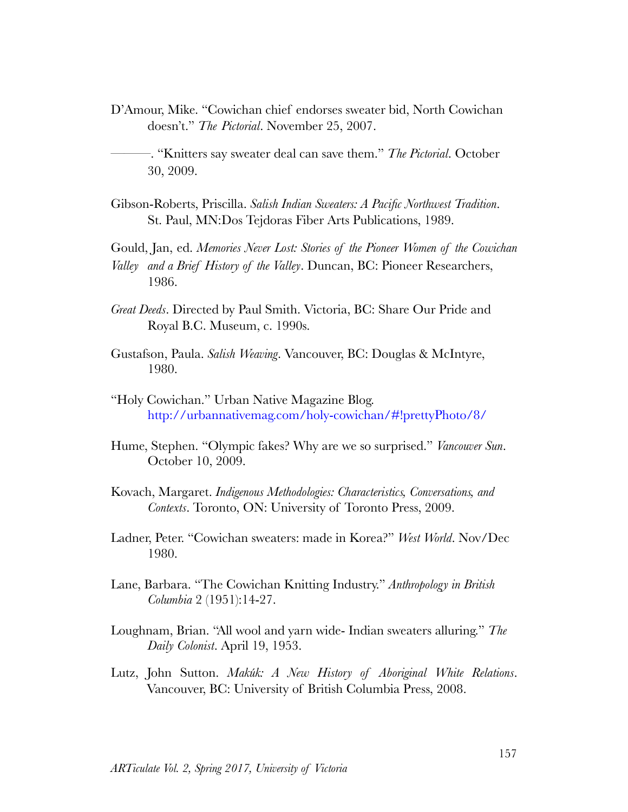D'Amour, Mike. "Cowichan chief endorses sweater bid, North Cowichan doesn't." *The Pictorial*. November 25, 2007.

- Gibson-Roberts, Priscilla. *Salish Indian Sweaters: A Pacific Northwest Tradition*. St. Paul, MN:Dos Tejdoras Fiber Arts Publications, 1989.
- Gould, Jan, ed. *Memories Never Lost: Stories of the Pioneer Women of the Cowichan Valley and a Brief History of the Valley*. Duncan, BC: Pioneer Researchers, 1986.
- *Great Deeds*. Directed by Paul Smith. Victoria, BC: Share Our Pride and Royal B.C. Museum, c. 1990s.
- Gustafson, Paula. *Salish Weaving*. Vancouver, BC: Douglas & McIntyre, 1980.
- "Holy Cowichan." Urban Native Magazine Blog. <http://urbannativemag.com/holy-cowichan/#!prettyPhoto/8/>
- Hume, Stephen. "Olympic fakes? Why are we so surprised." *Vancouver Sun*. October 10, 2009.
- Kovach, Margaret. *Indigenous Methodologies: Characteristics, Conversations, and Contexts*. Toronto, ON: University of Toronto Press, 2009.
- Ladner, Peter. "Cowichan sweaters: made in Korea?" *West World*. Nov/Dec 1980.
- Lane, Barbara. "The Cowichan Knitting Industry." *Anthropology in British Columbia* 2 (1951):14-27.
- Loughnam, Brian. "All wool and yarn wide- Indian sweaters alluring." *The Daily Colonist*. April 19, 1953.
- Lutz, John Sutton. *Makúk: A New History of Aboriginal White Relations*. Vancouver, BC: University of British Columbia Press, 2008.

<sup>———. &</sup>quot;Knitters say sweater deal can save them." *The Pictorial*. October 30, 2009.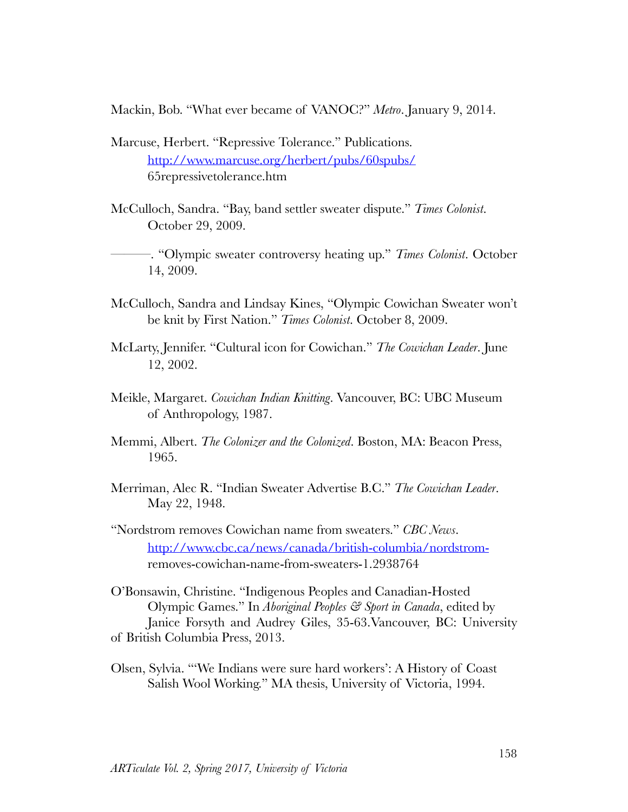Mackin, Bob. "What ever became of VANOC?" *Metro*. January 9, 2014.

- Marcuse, Herbert. "Repressive Tolerance." Publications. <http://www.marcuse.org/herbert/pubs/60spubs/> 65repressivetolerance.htm
- McCulloch, Sandra. "Bay, band settler sweater dispute." *Times Colonist*. October 29, 2009.
	- ———. "Olympic sweater controversy heating up." *Times Colonist*. October 14, 2009.
- McCulloch, Sandra and Lindsay Kines, "Olympic Cowichan Sweater won't be knit by First Nation." *Times Colonist*. October 8, 2009.
- McLarty, Jennifer. "Cultural icon for Cowichan." *The Cowichan Leader*. June 12, 2002.
- Meikle, Margaret. *Cowichan Indian Knitting*. Vancouver, BC: UBC Museum of Anthropology, 1987.
- Memmi, Albert. *The Colonizer and the Colonized*. Boston, MA: Beacon Press, 1965.
- Merriman, Alec R. "Indian Sweater Advertise B.C." *The Cowichan Leader*. May 22, 1948.
- "Nordstrom removes Cowichan name from sweaters." *CBC News*. [http://www.cbc.ca/news/canada/british-columbia/nordstrom](http://www.cbc.ca/news/canada/british-columbia/nordstrom-)removes-cowichan-name-from-sweaters-1.2938764
- O'Bonsawin, Christine. "Indigenous Peoples and Canadian-Hosted Olympic Games." In *Aboriginal Peoples & Sport in Canada*, edited by Janice Forsyth and Audrey Giles, 35-63.Vancouver, BC: University of British Columbia Press, 2013.
- Olsen, Sylvia. "'We Indians were sure hard workers': A History of Coast Salish Wool Working." MA thesis, University of Victoria, 1994.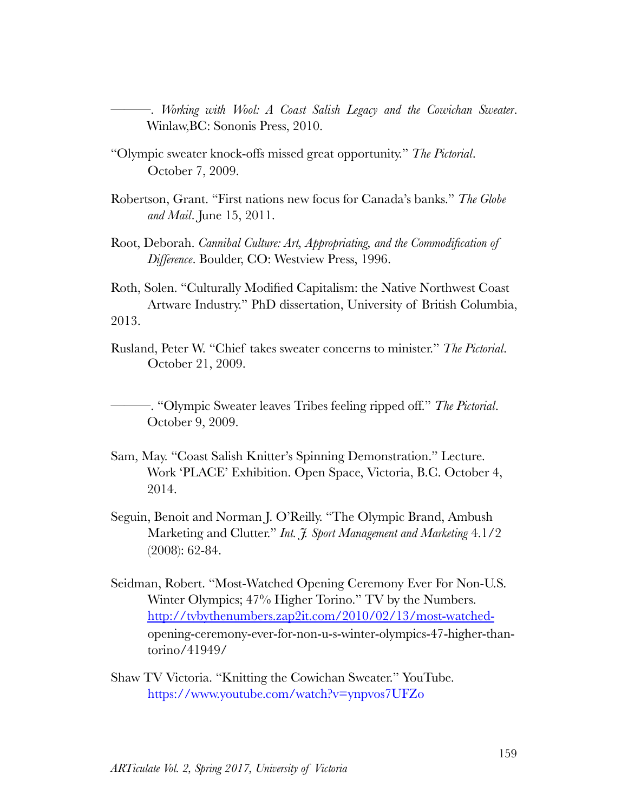———. *Working with Wool: A Coast Salish Legacy and the Cowichan Sweater*. Winlaw,BC: Sononis Press, 2010.

- "Olympic sweater knock-offs missed great opportunity." *The Pictorial*. October 7, 2009.
- Robertson, Grant. "First nations new focus for Canada's banks." *The Globe and Mail*. June 15, 2011.
- Root, Deborah. *Cannibal Culture: Art, Appropriating, and the Commodification of Difference*. Boulder, CO: Westview Press, 1996.

Roth, Solen. "Culturally Modified Capitalism: the Native Northwest Coast Artware Industry." PhD dissertation, University of British Columbia, 2013.

Rusland, Peter W. "Chief takes sweater concerns to minister." *The Pictorial*. October 21, 2009.

———. "Olympic Sweater leaves Tribes feeling ripped off." *The Pictorial*. October 9, 2009.

- Sam, May. "Coast Salish Knitter's Spinning Demonstration." Lecture. Work 'PLACE' Exhibition. Open Space, Victoria, B.C. October 4, 2014.
- Seguin, Benoit and Norman J. O'Reilly. "The Olympic Brand, Ambush Marketing and Clutter." *Int. J. Sport Management and Marketing* 4.1/2 (2008): 62-84.
- Seidman, Robert. "Most-Watched Opening Ceremony Ever For Non-U.S. Winter Olympics; 47% Higher Torino." TV by the Numbers. [http://tvbythenumbers.zap2it.com/2010/02/13/most-watched](http://tvbythenumbers.zap2it.com/2010/02/13/most-watched-)opening-ceremony-ever-for-non-u-s-winter-olympics-47-higher-thantorino/41949/
- Shaw TV Victoria. "Knitting the Cowichan Sweater." YouTube. <https://www.youtube.com/watch?v=ynpvos7UFZo>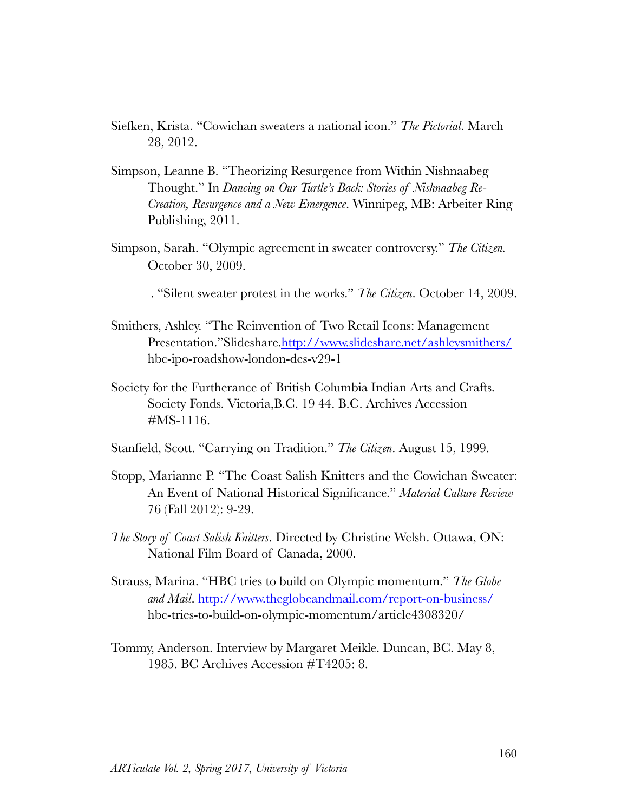- Siefken, Krista. "Cowichan sweaters a national icon." *The Pictorial*. March 28, 2012.
- Simpson, Leanne B. "Theorizing Resurgence from Within Nishnaabeg Thought." In *Dancing on Our Turtle's Back: Stories of Nishnaabeg Re-Creation, Resurgence and a New Emergence*. Winnipeg, MB: Arbeiter Ring Publishing, 2011.
- Simpson, Sarah. "Olympic agreement in sweater controversy." *The Citizen.* October 30, 2009.

———. "Silent sweater protest in the works." *The Citizen*. October 14, 2009.

- Smithers, Ashley. "The Reinvention of Two Retail Icons: Management Presentation."Slideshare[.http://www.slideshare.net/ashleysmithers/](http://www.slideshare.net/ashleysmithers/) hbc-ipo-roadshow-london-des-v29-1
- Society for the Furtherance of British Columbia Indian Arts and Crafts. Society Fonds. Victoria,B.C. 19 44. B.C. Archives Accession #MS-1116.
- Stanfield, Scott. "Carrying on Tradition." *The Citizen*. August 15, 1999.
- Stopp, Marianne P. "The Coast Salish Knitters and the Cowichan Sweater: An Event of National Historical Significance." *Material Culture Review* 76 (Fall 2012): 9-29.
- *The Story of Coast Salish Knitters*. Directed by Christine Welsh. Ottawa, ON: National Film Board of Canada, 2000.
- Strauss, Marina. "HBC tries to build on Olympic momentum." *The Globe and Mail*.<http://www.theglobeandmail.com/report-on-business/> hbc-tries-to-build-on-olympic-momentum/article4308320/
- Tommy, Anderson. Interview by Margaret Meikle. Duncan, BC. May 8, 1985. BC Archives Accession #T4205: 8.